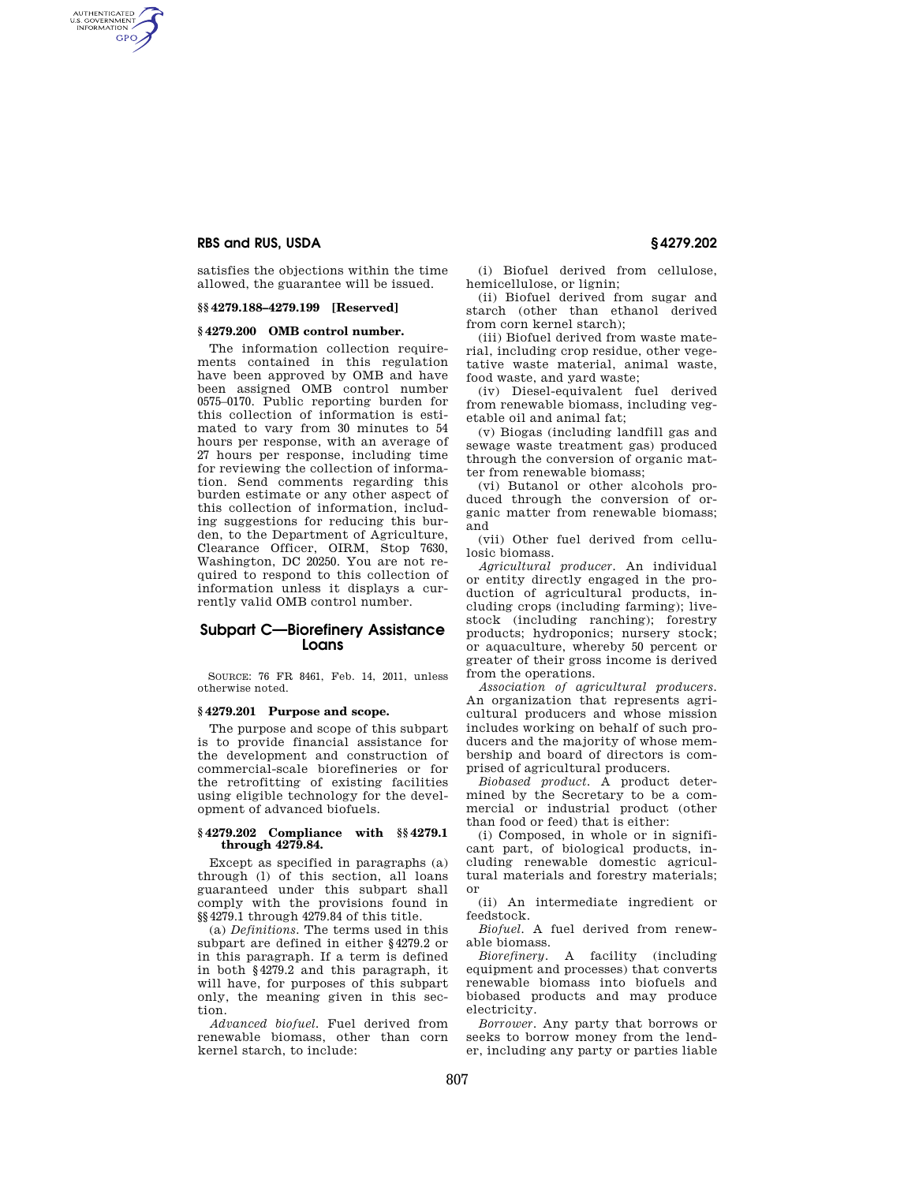AUTHENTICATED<br>U.S. GOVERNMENT<br>INFORMATION **GPO** 

> satisfies the objections within the time allowed, the guarantee will be issued.

## **§§ 4279.188–4279.199 [Reserved]**

## **§ 4279.200 OMB control number.**

The information collection requirements contained in this regulation have been approved by OMB and have been assigned OMB control number 0575–0170. Public reporting burden for this collection of information is estimated to vary from 30 minutes to 54 hours per response, with an average of 27 hours per response, including time for reviewing the collection of information. Send comments regarding this burden estimate or any other aspect of this collection of information, including suggestions for reducing this burden, to the Department of Agriculture, Clearance Officer, OIRM, Stop 7630, Washington, DC 20250. You are not required to respond to this collection of information unless it displays a currently valid OMB control number.

# **Subpart C—Biorefinery Assistance Loans**

SOURCE: 76 FR 8461, Feb. 14, 2011, unless otherwise noted.

# **§ 4279.201 Purpose and scope.**

The purpose and scope of this subpart is to provide financial assistance for the development and construction of commercial-scale biorefineries or for the retrofitting of existing facilities using eligible technology for the development of advanced biofuels.

#### **§ 4279.202 Compliance with §§ 4279.1 through 4279.84.**

Except as specified in paragraphs (a) through (l) of this section, all loans guaranteed under this subpart shall comply with the provisions found in §§4279.1 through 4279.84 of this title.

(a) *Definitions.* The terms used in this subpart are defined in either §4279.2 or in this paragraph. If a term is defined in both §4279.2 and this paragraph, it will have, for purposes of this subpart only, the meaning given in this section.

*Advanced biofuel.* Fuel derived from renewable biomass, other than corn kernel starch, to include:

(i) Biofuel derived from cellulose, hemicellulose, or lignin;

(ii) Biofuel derived from sugar and starch (other than ethanol derived from corn kernel starch);

(iii) Biofuel derived from waste material, including crop residue, other vegetative waste material, animal waste, food waste, and yard waste;

(iv) Diesel-equivalent fuel derived from renewable biomass, including vegetable oil and animal fat;

(v) Biogas (including landfill gas and sewage waste treatment gas) produced through the conversion of organic matter from renewable biomass;

(vi) Butanol or other alcohols produced through the conversion of organic matter from renewable biomass; and

(vii) Other fuel derived from cellulosic biomass.

*Agricultural producer.* An individual or entity directly engaged in the production of agricultural products, including crops (including farming); livestock (including ranching); forestry products; hydroponics; nursery stock; or aquaculture, whereby 50 percent or greater of their gross income is derived from the operations.

*Association of agricultural producers.*  An organization that represents agricultural producers and whose mission includes working on behalf of such producers and the majority of whose membership and board of directors is comprised of agricultural producers.

*Biobased product.* A product determined by the Secretary to be a commercial or industrial product (other than food or feed) that is either:

(i) Composed, in whole or in significant part, of biological products, including renewable domestic agricultural materials and forestry materials; or

(ii) An intermediate ingredient or feedstock.

*Biofuel.* A fuel derived from renewable biomass.<br>Biorefinery.

*Biorefinery.* A facility (including equipment and processes) that converts renewable biomass into biofuels and biobased products and may produce electricity.

*Borrower.* Any party that borrows or seeks to borrow money from the lender, including any party or parties liable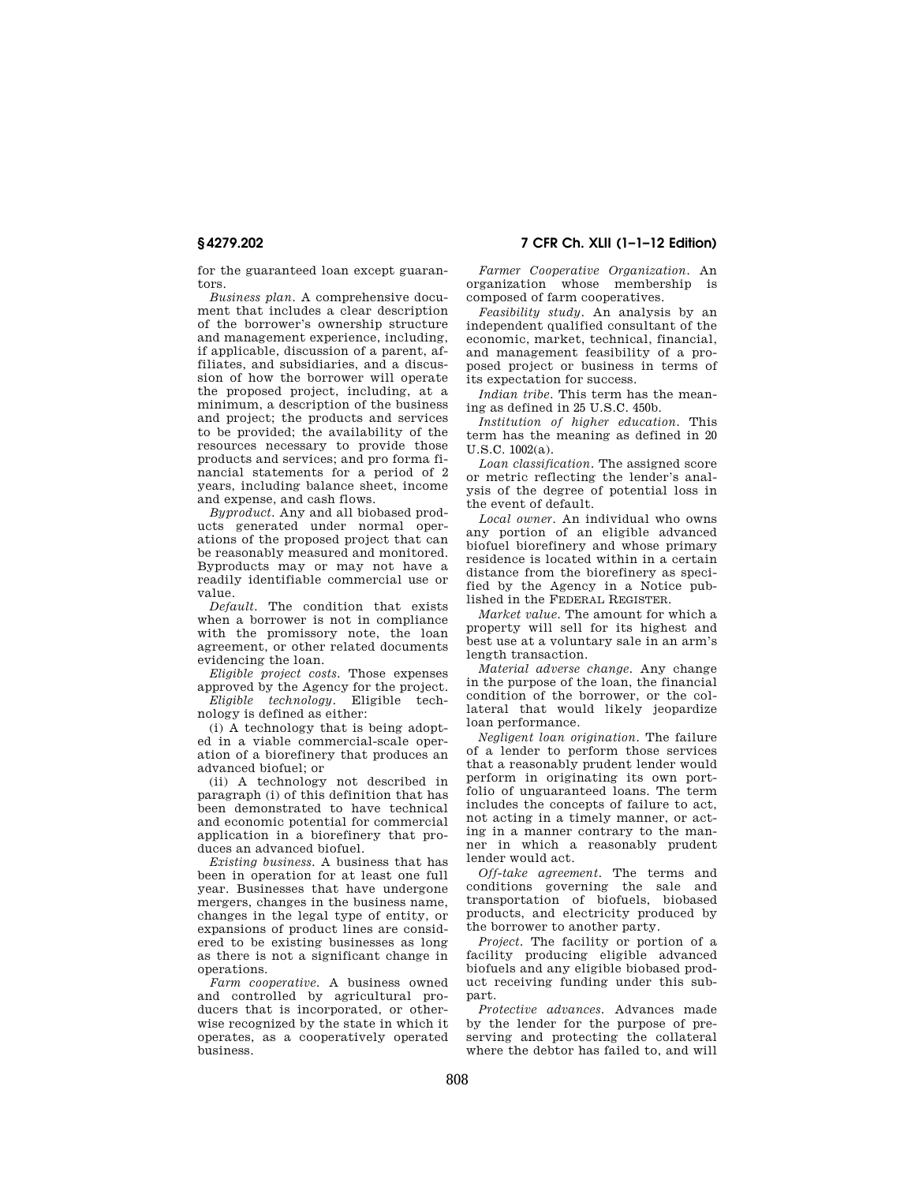for the guaranteed loan except guarantors.

*Business plan.* A comprehensive document that includes a clear description of the borrower's ownership structure and management experience, including, if applicable, discussion of a parent, affiliates, and subsidiaries, and a discussion of how the borrower will operate the proposed project, including, at a minimum, a description of the business and project; the products and services to be provided; the availability of the resources necessary to provide those products and services; and pro forma financial statements for a period of 2 years, including balance sheet, income and expense, and cash flows.

*Byproduct.* Any and all biobased products generated under normal operations of the proposed project that can be reasonably measured and monitored. Byproducts may or may not have a readily identifiable commercial use or value.

*Default.* The condition that exists when a borrower is not in compliance with the promissory note, the loan agreement, or other related documents evidencing the loan.

*Eligible project costs.* Those expenses approved by the Agency for the project.

*Eligible technology.* Eligible technology is defined as either:

(i) A technology that is being adopted in a viable commercial-scale operation of a biorefinery that produces an advanced biofuel; or

(ii) A technology not described in paragraph (i) of this definition that has been demonstrated to have technical and economic potential for commercial application in a biorefinery that produces an advanced biofuel.

*Existing business.* A business that has been in operation for at least one full year. Businesses that have undergone mergers, changes in the business name, changes in the legal type of entity, or expansions of product lines are considered to be existing businesses as long as there is not a significant change in operations.

*Farm cooperative.* A business owned and controlled by agricultural producers that is incorporated, or otherwise recognized by the state in which it operates, as a cooperatively operated business.

**§ 4279.202 7 CFR Ch. XLII (1–1–12 Edition)** 

*Farmer Cooperative Organization.* An organization whose membership is composed of farm cooperatives.

*Feasibility study.* An analysis by an independent qualified consultant of the economic, market, technical, financial, and management feasibility of a proposed project or business in terms of its expectation for success.

*Indian tribe.* This term has the meaning as defined in 25 U.S.C. 450b.

*Institution of higher education.* This term has the meaning as defined in 20 U.S.C. 1002(a).

*Loan classification.* The assigned score or metric reflecting the lender's analysis of the degree of potential loss in the event of default.

*Local owner.* An individual who owns any portion of an eligible advanced biofuel biorefinery and whose primary residence is located within in a certain distance from the biorefinery as specified by the Agency in a Notice published in the FEDERAL REGISTER.

*Market value.* The amount for which a property will sell for its highest and best use at a voluntary sale in an arm's length transaction.

*Material adverse change.* Any change in the purpose of the loan, the financial condition of the borrower, or the collateral that would likely jeopardize loan performance.

*Negligent loan origination.* The failure of a lender to perform those services that a reasonably prudent lender would perform in originating its own portfolio of unguaranteed loans. The term includes the concepts of failure to act, not acting in a timely manner, or acting in a manner contrary to the manner in which a reasonably prudent lender would act.

*Off-take agreement.* The terms and conditions governing the sale and transportation of biofuels, biobased products, and electricity produced by the borrower to another party.

*Project.* The facility or portion of a facility producing eligible advanced biofuels and any eligible biobased product receiving funding under this subpart.

*Protective advances.* Advances made by the lender for the purpose of preserving and protecting the collateral where the debtor has failed to, and will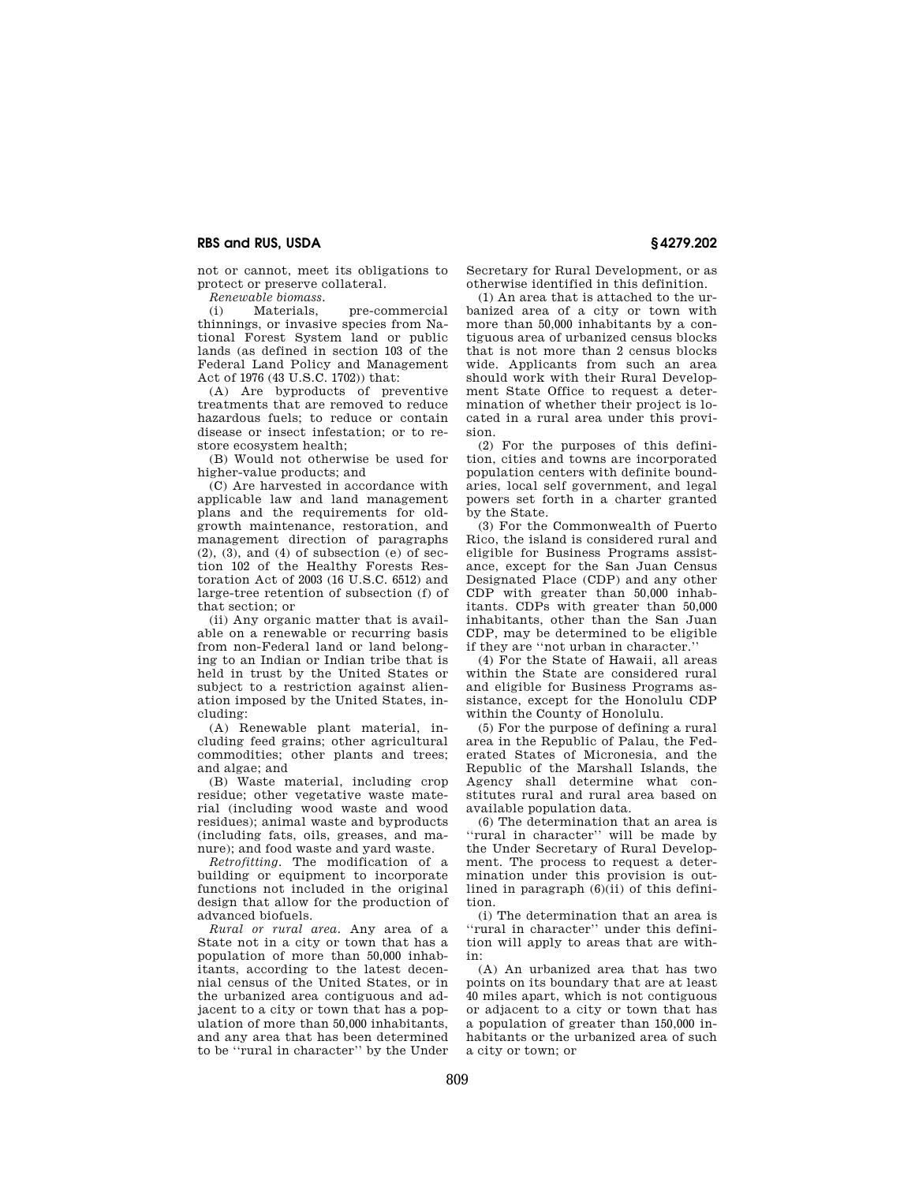not or cannot, meet its obligations to protect or preserve collateral.

*Renewable biomass.* 

(i) Materials, pre-commercial thinnings, or invasive species from National Forest System land or public lands (as defined in section 103 of the Federal Land Policy and Management Act of 1976 (43 U.S.C. 1702)) that:

(A) Are byproducts of preventive treatments that are removed to reduce hazardous fuels; to reduce or contain disease or insect infestation; or to restore ecosystem health;

(B) Would not otherwise be used for higher-value products; and

(C) Are harvested in accordance with applicable law and land management plans and the requirements for oldgrowth maintenance, restoration, and management direction of paragraphs  $(2)$ ,  $(3)$ , and  $(4)$  of subsection  $(e)$  of section 102 of the Healthy Forests Restoration Act of 2003 (16 U.S.C. 6512) and large-tree retention of subsection (f) of that section; or

(ii) Any organic matter that is available on a renewable or recurring basis from non-Federal land or land belonging to an Indian or Indian tribe that is held in trust by the United States or subject to a restriction against alienation imposed by the United States, including:

(A) Renewable plant material, including feed grains; other agricultural commodities; other plants and trees; and algae; and

(B) Waste material, including crop residue; other vegetative waste material (including wood waste and wood residues); animal waste and byproducts (including fats, oils, greases, and manure); and food waste and yard waste.

*Retrofitting.* The modification of a building or equipment to incorporate functions not included in the original design that allow for the production of advanced biofuels.

*Rural or rural area.* Any area of a State not in a city or town that has a population of more than 50,000 inhabitants, according to the latest decennial census of the United States, or in the urbanized area contiguous and adjacent to a city or town that has a population of more than 50,000 inhabitants, and any area that has been determined to be ''rural in character'' by the Under

Secretary for Rural Development, or as otherwise identified in this definition.

(1) An area that is attached to the urbanized area of a city or town with more than 50,000 inhabitants by a contiguous area of urbanized census blocks that is not more than 2 census blocks wide. Applicants from such an area should work with their Rural Development State Office to request a determination of whether their project is located in a rural area under this provision.

(2) For the purposes of this definition, cities and towns are incorporated population centers with definite boundaries, local self government, and legal powers set forth in a charter granted by the State.

(3) For the Commonwealth of Puerto Rico, the island is considered rural and eligible for Business Programs assistance, except for the San Juan Census Designated Place (CDP) and any other CDP with greater than 50,000 inhabitants. CDPs with greater than 50,000 inhabitants, other than the San Juan CDP, may be determined to be eligible if they are ''not urban in character.''

(4) For the State of Hawaii, all areas within the State are considered rural and eligible for Business Programs assistance, except for the Honolulu CDP within the County of Honolulu.

(5) For the purpose of defining a rural area in the Republic of Palau, the Federated States of Micronesia, and the Republic of the Marshall Islands, the Agency shall determine what constitutes rural and rural area based on available population data.

(6) The determination that an area is 'rural in character'' will be made by the Under Secretary of Rural Development. The process to request a determination under this provision is outlined in paragraph (6)(ii) of this definition.

(i) The determination that an area is 'rural in character'' under this definition will apply to areas that are within:

(A) An urbanized area that has two points on its boundary that are at least 40 miles apart, which is not contiguous or adjacent to a city or town that has a population of greater than 150,000 inhabitants or the urbanized area of such a city or town; or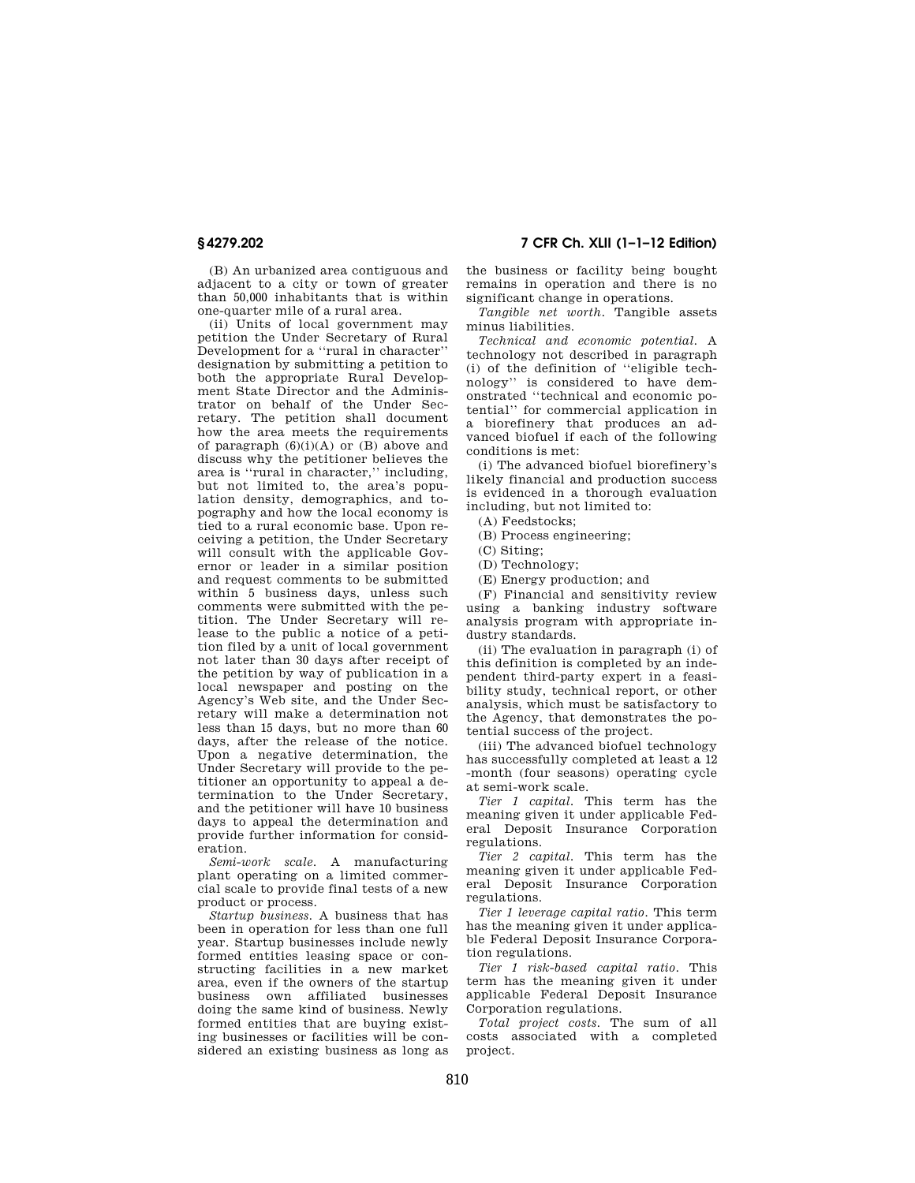(B) An urbanized area contiguous and adjacent to a city or town of greater than 50,000 inhabitants that is within one-quarter mile of a rural area.

(ii) Units of local government may petition the Under Secretary of Rural Development for a ''rural in character'' designation by submitting a petition to both the appropriate Rural Development State Director and the Administrator on behalf of the Under Secretary. The petition shall document how the area meets the requirements of paragraph  $(6)(i)(A)$  or  $(B)$  above and discuss why the petitioner believes the area is ''rural in character,'' including, but not limited to, the area's population density, demographics, and topography and how the local economy is tied to a rural economic base. Upon receiving a petition, the Under Secretary will consult with the applicable Governor or leader in a similar position and request comments to be submitted within 5 business days, unless such comments were submitted with the petition. The Under Secretary will release to the public a notice of a petition filed by a unit of local government not later than 30 days after receipt of the petition by way of publication in a local newspaper and posting on the Agency's Web site, and the Under Secretary will make a determination not less than 15 days, but no more than 60 days, after the release of the notice. Upon a negative determination, the Under Secretary will provide to the petitioner an opportunity to appeal a determination to the Under Secretary, and the petitioner will have 10 business days to appeal the determination and provide further information for consideration.

*Semi-work scale.* A manufacturing plant operating on a limited commercial scale to provide final tests of a new product or process.

*Startup business.* A business that has been in operation for less than one full year. Startup businesses include newly formed entities leasing space or constructing facilities in a new market area, even if the owners of the startup business own affiliated businesses doing the same kind of business. Newly formed entities that are buying existing businesses or facilities will be considered an existing business as long as

**§ 4279.202 7 CFR Ch. XLII (1–1–12 Edition)** 

the business or facility being bought remains in operation and there is no significant change in operations.

*Tangible net worth.* Tangible assets minus liabilities.

*Technical and economic potential.* A technology not described in paragraph (i) of the definition of ''eligible technology'' is considered to have demonstrated ''technical and economic potential'' for commercial application in a biorefinery that produces an advanced biofuel if each of the following conditions is met:

(i) The advanced biofuel biorefinery's likely financial and production success is evidenced in a thorough evaluation including, but not limited to:

(A) Feedstocks;

(B) Process engineering;

(C) Siting;

(D) Technology;

(E) Energy production; and

(F) Financial and sensitivity review using a banking industry software analysis program with appropriate industry standards.

(ii) The evaluation in paragraph (i) of this definition is completed by an independent third-party expert in a feasibility study, technical report, or other analysis, which must be satisfactory to the Agency, that demonstrates the potential success of the project.

(iii) The advanced biofuel technology has successfully completed at least a 12 -month (four seasons) operating cycle at semi-work scale.

*Tier 1 capital.* This term has the meaning given it under applicable Federal Deposit Insurance Corporation regulations.

*Tier 2 capital.* This term has the meaning given it under applicable Federal Deposit Insurance Corporation regulations.

*Tier 1 leverage capital ratio.* This term has the meaning given it under applicable Federal Deposit Insurance Corporation regulations.

*Tier 1 risk-based capital ratio.* This term has the meaning given it under applicable Federal Deposit Insurance Corporation regulations.

*Total project costs.* The sum of all costs associated with a completed project.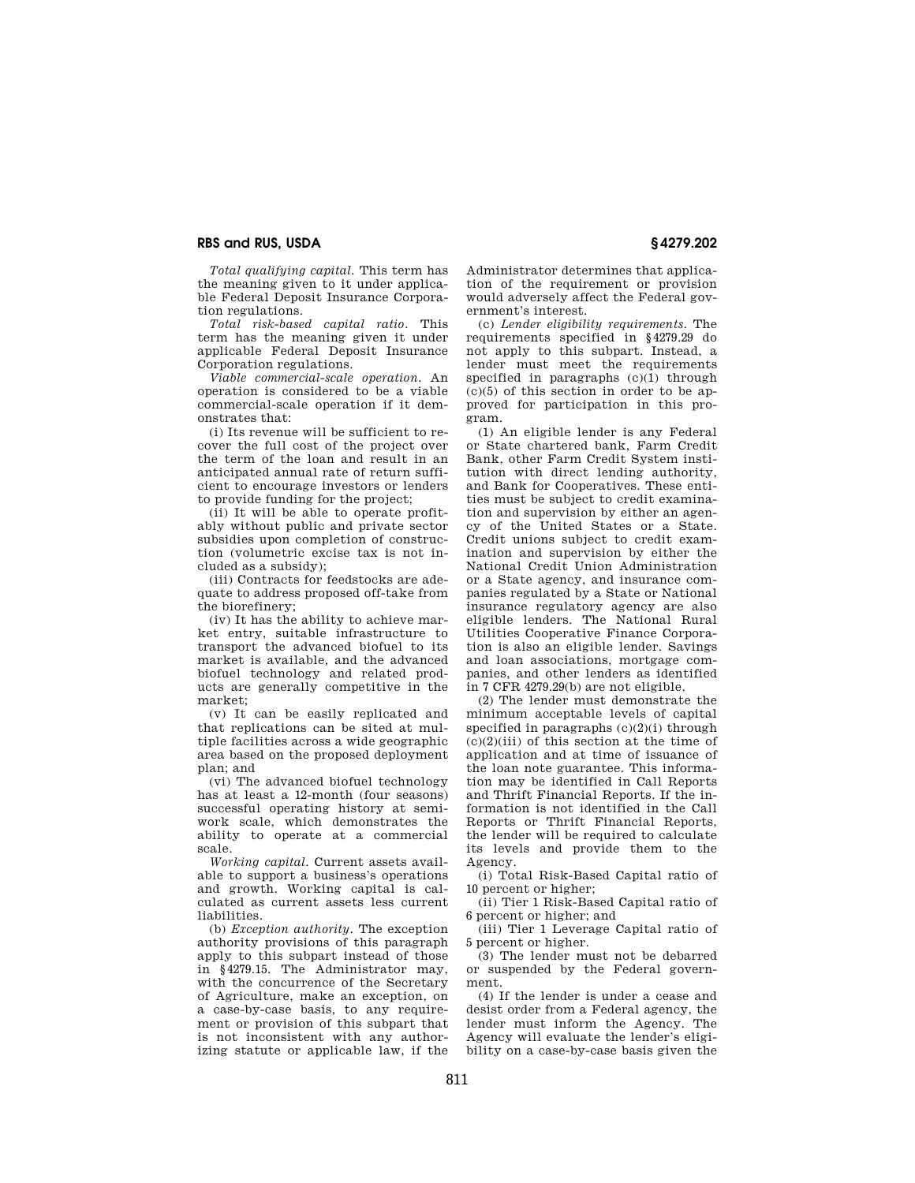*Total qualifying capital.* This term has the meaning given to it under applicable Federal Deposit Insurance Corporation regulations.

*Total risk-based capital ratio.* This term has the meaning given it under applicable Federal Deposit Insurance Corporation regulations.

*Viable commercial-scale operation.* An operation is considered to be a viable commercial-scale operation if it demonstrates that:

(i) Its revenue will be sufficient to recover the full cost of the project over the term of the loan and result in an anticipated annual rate of return sufficient to encourage investors or lenders to provide funding for the project;

(ii) It will be able to operate profitably without public and private sector subsidies upon completion of construction (volumetric excise tax is not included as a subsidy);

(iii) Contracts for feedstocks are adequate to address proposed off-take from the biorefinery;

(iv) It has the ability to achieve market entry, suitable infrastructure to transport the advanced biofuel to its market is available, and the advanced biofuel technology and related products are generally competitive in the market;

(v) It can be easily replicated and that replications can be sited at multiple facilities across a wide geographic area based on the proposed deployment plan; and

(vi) The advanced biofuel technology has at least a 12-month (four seasons) successful operating history at semiwork scale, which demonstrates the ability to operate at a commercial scale.

*Working capital.* Current assets available to support a business's operations and growth. Working capital is calculated as current assets less current liabilities.

(b) *Exception authority.* The exception authority provisions of this paragraph apply to this subpart instead of those in §4279.15. The Administrator may, with the concurrence of the Secretary of Agriculture, make an exception, on a case-by-case basis, to any requirement or provision of this subpart that is not inconsistent with any authorizing statute or applicable law, if the

Administrator determines that application of the requirement or provision would adversely affect the Federal government's interest.

(c) *Lender eligibility requirements.* The requirements specified in §4279.29 do not apply to this subpart. Instead, a lender must meet the requirements specified in paragraphs  $(c)(1)$  through  $(c)(5)$  of this section in order to be approved for participation in this program.

(1) An eligible lender is any Federal or State chartered bank, Farm Credit Bank, other Farm Credit System institution with direct lending authority, and Bank for Cooperatives. These entities must be subject to credit examination and supervision by either an agency of the United States or a State. Credit unions subject to credit examination and supervision by either the National Credit Union Administration or a State agency, and insurance companies regulated by a State or National insurance regulatory agency are also eligible lenders. The National Rural Utilities Cooperative Finance Corporation is also an eligible lender. Savings and loan associations, mortgage companies, and other lenders as identified in 7 CFR 4279.29(b) are not eligible.

(2) The lender must demonstrate the minimum acceptable levels of capital specified in paragraphs  $(c)(2)(i)$  through  $(c)(2)(iii)$  of this section at the time of application and at time of issuance of the loan note guarantee. This information may be identified in Call Reports and Thrift Financial Reports. If the information is not identified in the Call Reports or Thrift Financial Reports, the lender will be required to calculate its levels and provide them to the Agency.

(i) Total Risk-Based Capital ratio of 10 percent or higher;

(ii) Tier 1 Risk-Based Capital ratio of 6 percent or higher; and

(iii) Tier 1 Leverage Capital ratio of 5 percent or higher.

(3) The lender must not be debarred or suspended by the Federal government.

(4) If the lender is under a cease and desist order from a Federal agency, the lender must inform the Agency. The Agency will evaluate the lender's eligibility on a case-by-case basis given the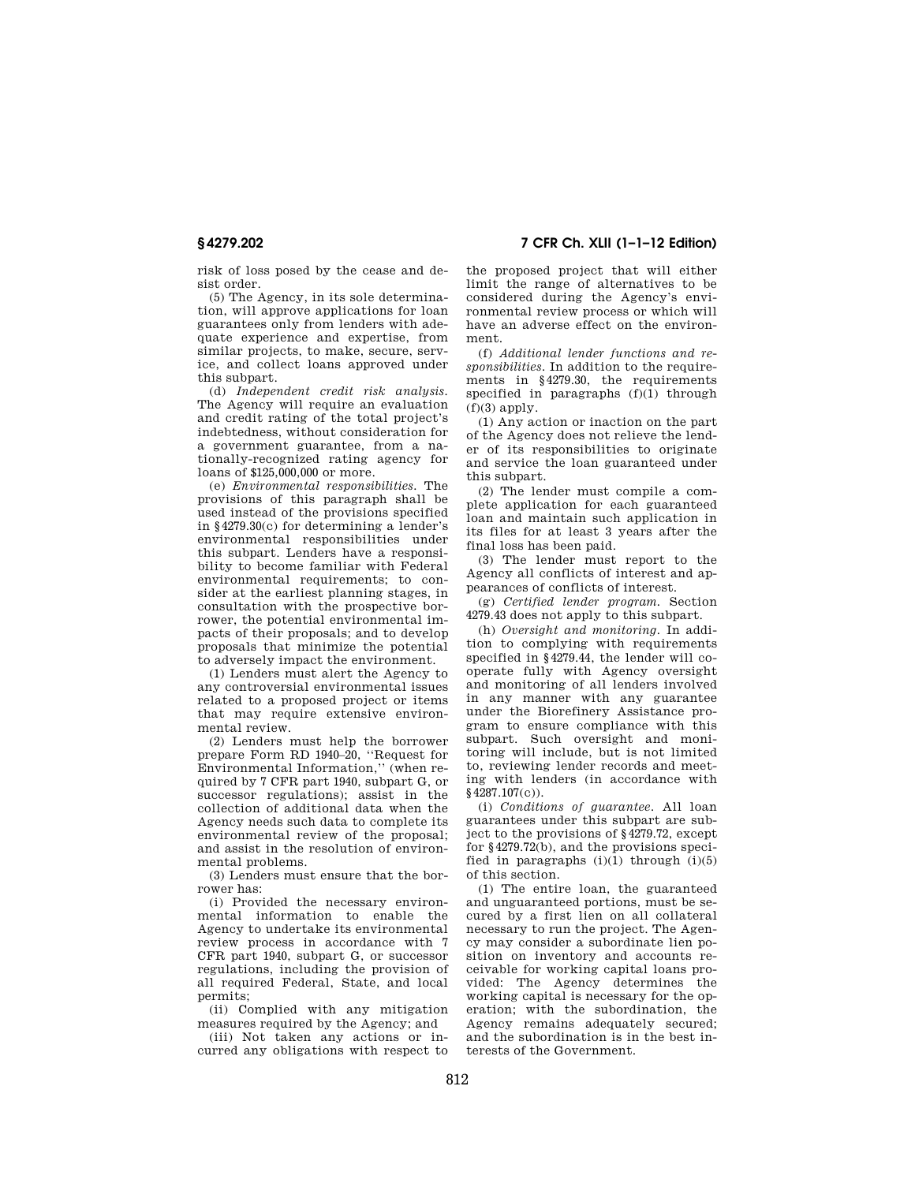**§ 4279.202 7 CFR Ch. XLII (1–1–12 Edition)** 

risk of loss posed by the cease and desist order.

(5) The Agency, in its sole determination, will approve applications for loan guarantees only from lenders with adequate experience and expertise, from similar projects, to make, secure, service, and collect loans approved under this subpart.

(d) *Independent credit risk analysis.*  The Agency will require an evaluation and credit rating of the total project's indebtedness, without consideration for a government guarantee, from a nationally-recognized rating agency for loans of \$125,000,000 or more.

(e) *Environmental responsibilities.* The provisions of this paragraph shall be used instead of the provisions specified in §4279.30(c) for determining a lender's environmental responsibilities under this subpart. Lenders have a responsibility to become familiar with Federal environmental requirements; to consider at the earliest planning stages, in consultation with the prospective borrower, the potential environmental impacts of their proposals; and to develop proposals that minimize the potential to adversely impact the environment.

(1) Lenders must alert the Agency to any controversial environmental issues related to a proposed project or items that may require extensive environmental review.

(2) Lenders must help the borrower prepare Form RD 1940–20, ''Request for Environmental Information,'' (when required by 7 CFR part 1940, subpart G, or successor regulations); assist in the collection of additional data when the Agency needs such data to complete its environmental review of the proposal; and assist in the resolution of environmental problems.

(3) Lenders must ensure that the borrower has:

(i) Provided the necessary environmental information to enable the Agency to undertake its environmental review process in accordance with 7 CFR part 1940, subpart G, or successor regulations, including the provision of all required Federal, State, and local permits;

(ii) Complied with any mitigation measures required by the Agency; and

(iii) Not taken any actions or incurred any obligations with respect to the proposed project that will either limit the range of alternatives to be considered during the Agency's environmental review process or which will have an adverse effect on the environment.

(f) *Additional lender functions and responsibilities.* In addition to the requirements in §4279.30, the requirements specified in paragraphs  $(f)(1)$  through  $(f)(3)$  apply.

(1) Any action or inaction on the part of the Agency does not relieve the lender of its responsibilities to originate and service the loan guaranteed under this subpart.

(2) The lender must compile a complete application for each guaranteed loan and maintain such application in its files for at least 3 years after the final loss has been paid.

(3) The lender must report to the Agency all conflicts of interest and appearances of conflicts of interest.

(g) *Certified lender program.* Section 4279.43 does not apply to this subpart.

(h) *Oversight and monitoring.* In addition to complying with requirements specified in §4279.44, the lender will cooperate fully with Agency oversight and monitoring of all lenders involved in any manner with any guarantee under the Biorefinery Assistance program to ensure compliance with this subpart. Such oversight and monitoring will include, but is not limited to, reviewing lender records and meeting with lenders (in accordance with §4287.107(c)).

(i) *Conditions of guarantee.* All loan guarantees under this subpart are subject to the provisions of §4279.72, except for §4279.72(b), and the provisions specified in paragraphs  $(i)(1)$  through  $(i)(5)$ of this section.

(1) The entire loan, the guaranteed and unguaranteed portions, must be secured by a first lien on all collateral necessary to run the project. The Agency may consider a subordinate lien position on inventory and accounts receivable for working capital loans provided: The Agency determines the working capital is necessary for the operation; with the subordination, the Agency remains adequately secured; and the subordination is in the best interests of the Government.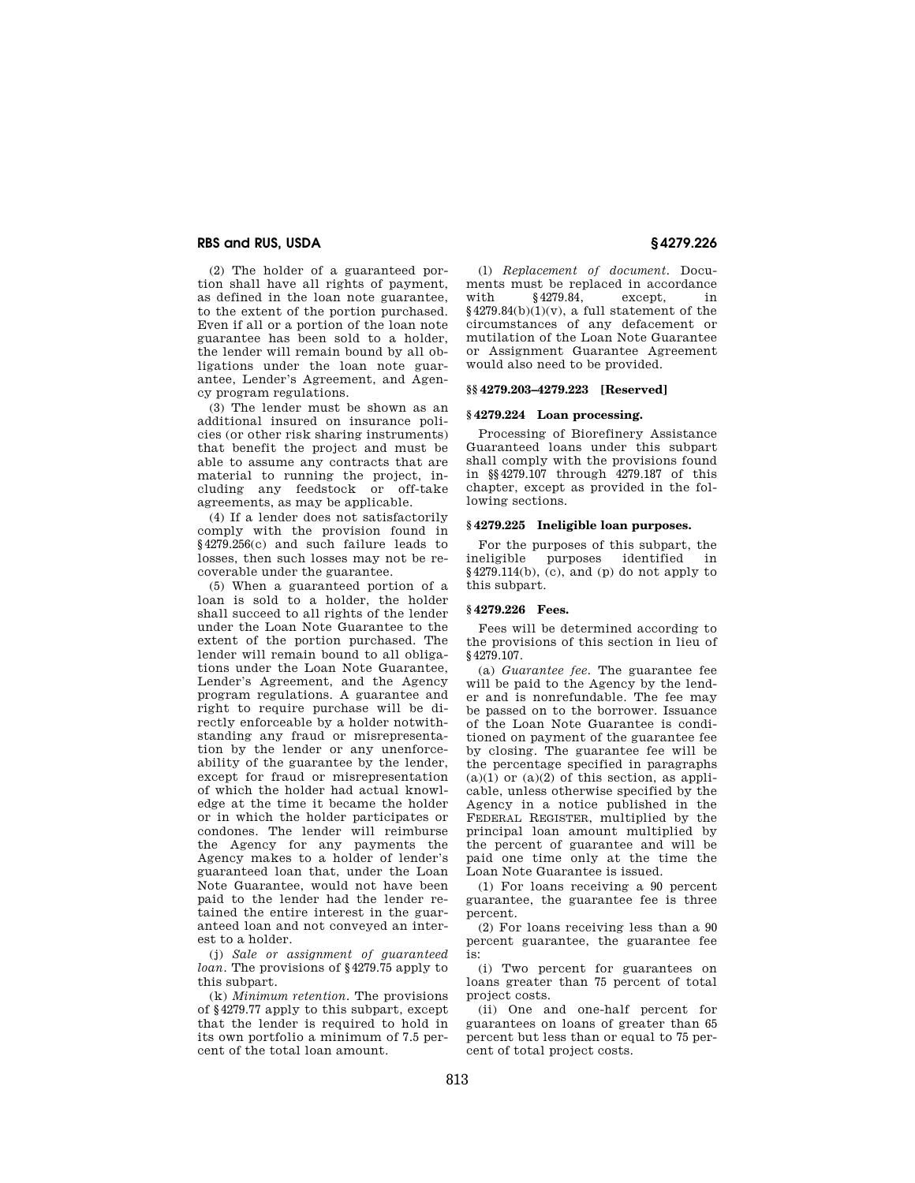(2) The holder of a guaranteed portion shall have all rights of payment, as defined in the loan note guarantee, to the extent of the portion purchased. Even if all or a portion of the loan note guarantee has been sold to a holder, the lender will remain bound by all obligations under the loan note guarantee, Lender's Agreement, and Agency program regulations.

(3) The lender must be shown as an additional insured on insurance policies (or other risk sharing instruments) that benefit the project and must be able to assume any contracts that are material to running the project, including any feedstock or off-take agreements, as may be applicable.

(4) If a lender does not satisfactorily comply with the provision found in §4279.256(c) and such failure leads to losses, then such losses may not be recoverable under the guarantee.

(5) When a guaranteed portion of a loan is sold to a holder, the holder shall succeed to all rights of the lender under the Loan Note Guarantee to the extent of the portion purchased. The lender will remain bound to all obligations under the Loan Note Guarantee, Lender's Agreement, and the Agency program regulations. A guarantee and right to require purchase will be directly enforceable by a holder notwithstanding any fraud or misrepresentation by the lender or any unenforceability of the guarantee by the lender, except for fraud or misrepresentation of which the holder had actual knowledge at the time it became the holder or in which the holder participates or condones. The lender will reimburse the Agency for any payments the Agency makes to a holder of lender's guaranteed loan that, under the Loan Note Guarantee, would not have been paid to the lender had the lender retained the entire interest in the guaranteed loan and not conveyed an interest to a holder.

(j) *Sale or assignment of guaranteed loan.* The provisions of §4279.75 apply to this subpart.

(k) *Minimum retention.* The provisions of §4279.77 apply to this subpart, except that the lender is required to hold in its own portfolio a minimum of 7.5 percent of the total loan amount.

(l) *Replacement of document.* Documents must be replaced in accordance with §4279.84, except, in  $§4279.84(b)(1)(v)$ , a full statement of the circumstances of any defacement or mutilation of the Loan Note Guarantee or Assignment Guarantee Agreement would also need to be provided.

#### **§§ 4279.203–4279.223 [Reserved]**

# **§ 4279.224 Loan processing.**

Processing of Biorefinery Assistance Guaranteed loans under this subpart shall comply with the provisions found in §§4279.107 through 4279.187 of this chapter, except as provided in the following sections.

## **§ 4279.225 Ineligible loan purposes.**

For the purposes of this subpart, the ineligible purposes identified in  $§4279.114(b)$ , (c), and (p) do not apply to this subpart.

# **§ 4279.226 Fees.**

Fees will be determined according to the provisions of this section in lieu of §4279.107.

(a) *Guarantee fee.* The guarantee fee will be paid to the Agency by the lender and is nonrefundable. The fee may be passed on to the borrower. Issuance of the Loan Note Guarantee is conditioned on payment of the guarantee fee by closing. The guarantee fee will be the percentage specified in paragraphs  $(a)(1)$  or  $(a)(2)$  of this section, as applicable, unless otherwise specified by the Agency in a notice published in the FEDERAL REGISTER, multiplied by the principal loan amount multiplied by the percent of guarantee and will be paid one time only at the time the Loan Note Guarantee is issued.

(1) For loans receiving a 90 percent guarantee, the guarantee fee is three percent.

(2) For loans receiving less than a 90 percent guarantee, the guarantee fee is:

(i) Two percent for guarantees on loans greater than 75 percent of total project costs.

(ii) One and one-half percent for guarantees on loans of greater than 65 percent but less than or equal to 75 percent of total project costs.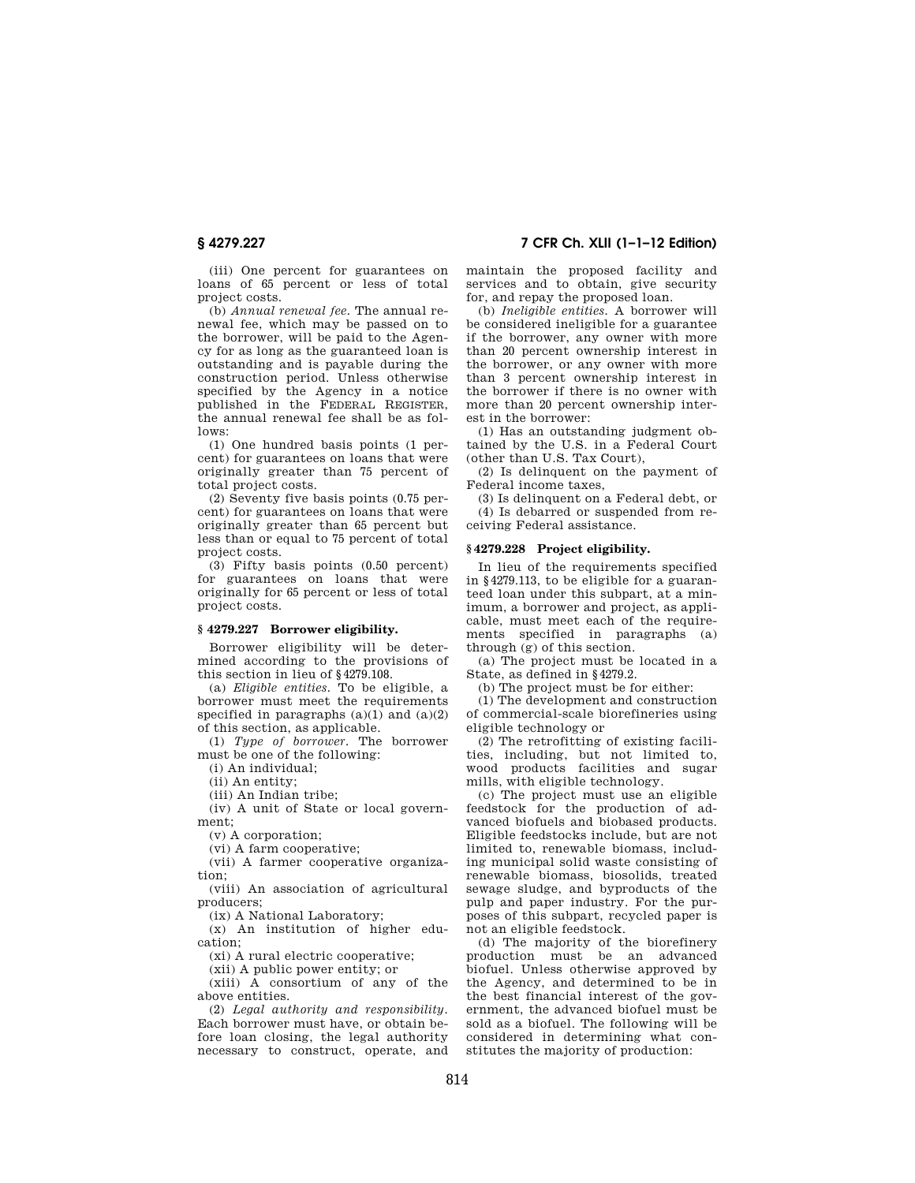(iii) One percent for guarantees on loans of 65 percent or less of total project costs.

(b) *Annual renewal fee.* The annual renewal fee, which may be passed on to the borrower, will be paid to the Agency for as long as the guaranteed loan is outstanding and is payable during the construction period. Unless otherwise specified by the Agency in a notice published in the FEDERAL REGISTER, the annual renewal fee shall be as follows:

(1) One hundred basis points (1 percent) for guarantees on loans that were originally greater than 75 percent of total project costs.

(2) Seventy five basis points (0.75 percent) for guarantees on loans that were originally greater than 65 percent but less than or equal to 75 percent of total project costs.

(3) Fifty basis points (0.50 percent) for guarantees on loans that were originally for 65 percent or less of total project costs.

## **§ 4279.227 Borrower eligibility.**

Borrower eligibility will be determined according to the provisions of this section in lieu of §4279.108.

(a) *Eligible entities.* To be eligible, a borrower must meet the requirements specified in paragraphs  $(a)(1)$  and  $(a)(2)$ of this section, as applicable.

(1) *Type of borrower.* The borrower must be one of the following:

(i) An individual;

(ii) An entity;

(iii) An Indian tribe;

(iv) A unit of State or local government;

(v) A corporation;

(vi) A farm cooperative;

(vii) A farmer cooperative organization;

(viii) An association of agricultural producers;

(ix) A National Laboratory;

(x) An institution of higher education;

(xi) A rural electric cooperative;

(xii) A public power entity; or

(xiii) A consortium of any of the above entities.

(2) *Legal authority and responsibility.*  Each borrower must have, or obtain before loan closing, the legal authority necessary to construct, operate, and

**§ 4279.227 7 CFR Ch. XLII (1–1–12 Edition)** 

maintain the proposed facility and services and to obtain, give security for, and repay the proposed loan.

(b) *Ineligible entities.* A borrower will be considered ineligible for a guarantee if the borrower, any owner with more than 20 percent ownership interest in the borrower, or any owner with more than 3 percent ownership interest in the borrower if there is no owner with more than 20 percent ownership interest in the borrower:

(1) Has an outstanding judgment obtained by the U.S. in a Federal Court (other than U.S. Tax Court),

(2) Is delinquent on the payment of Federal income taxes,

(3) Is delinquent on a Federal debt, or (4) Is debarred or suspended from receiving Federal assistance.

# **§ 4279.228 Project eligibility.**

In lieu of the requirements specified in §4279.113, to be eligible for a guaranteed loan under this subpart, at a minimum, a borrower and project, as applicable, must meet each of the requirements specified in paragraphs (a) through (g) of this section.

(a) The project must be located in a State, as defined in §4279.2.

(b) The project must be for either:

(1) The development and construction of commercial-scale biorefineries using eligible technology or

(2) The retrofitting of existing facilities, including, but not limited to, wood products facilities and sugar mills, with eligible technology.

(c) The project must use an eligible feedstock for the production of advanced biofuels and biobased products. Eligible feedstocks include, but are not limited to, renewable biomass, including municipal solid waste consisting of renewable biomass, biosolids, treated sewage sludge, and byproducts of the pulp and paper industry. For the purposes of this subpart, recycled paper is not an eligible feedstock.

(d) The majority of the biorefinery production must be an advanced biofuel. Unless otherwise approved by the Agency, and determined to be in the best financial interest of the government, the advanced biofuel must be sold as a biofuel. The following will be considered in determining what constitutes the majority of production: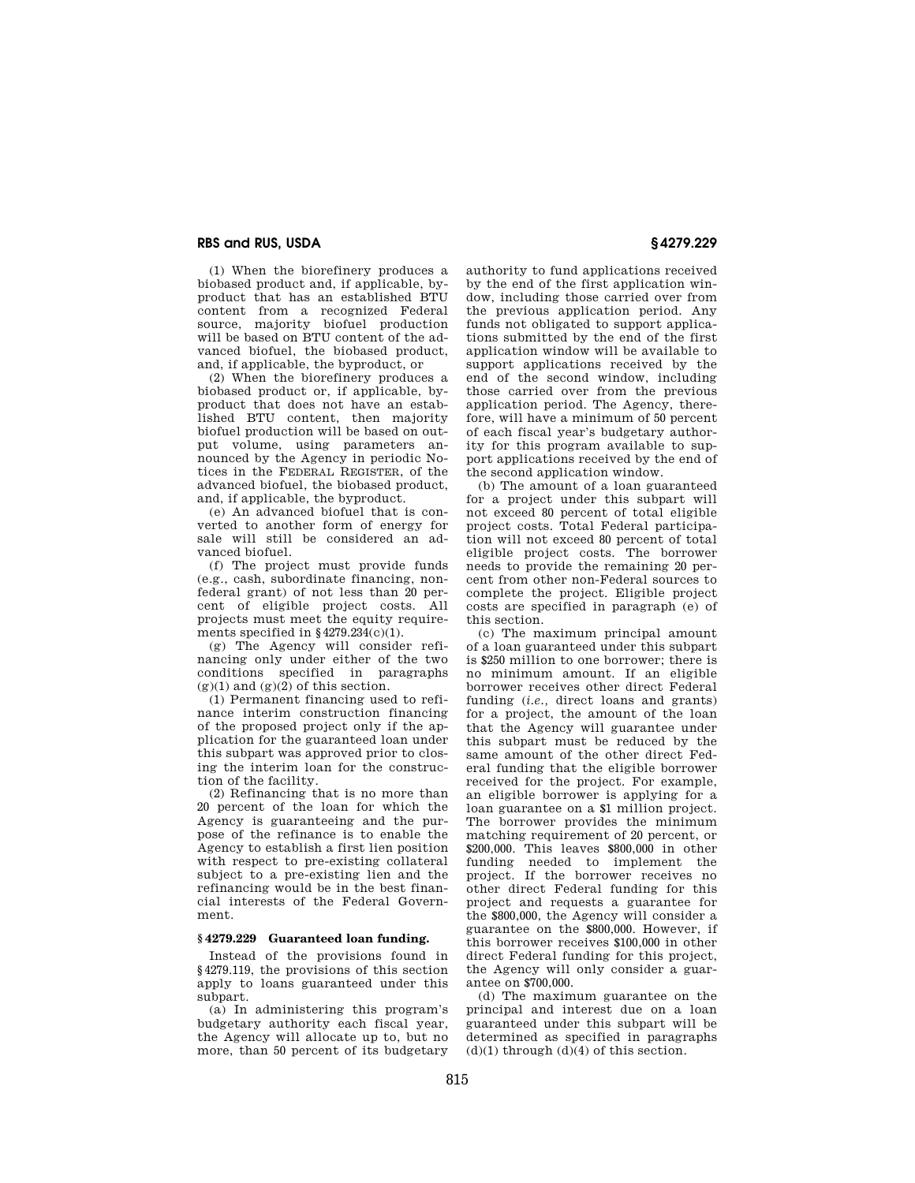(1) When the biorefinery produces a biobased product and, if applicable, byproduct that has an established BTU content from a recognized Federal source, majority biofuel production will be based on BTU content of the advanced biofuel, the biobased product, and, if applicable, the byproduct, or

(2) When the biorefinery produces a biobased product or, if applicable, byproduct that does not have an established BTU content, then majority biofuel production will be based on output volume, using parameters announced by the Agency in periodic Notices in the FEDERAL REGISTER, of the advanced biofuel, the biobased product, and, if applicable, the byproduct.

(e) An advanced biofuel that is converted to another form of energy for sale will still be considered an advanced biofuel.

(f) The project must provide funds (e.g., cash, subordinate financing, nonfederal grant) of not less than 20 percent of eligible project costs. All projects must meet the equity requirements specified in §4279.234(c)(1).

(g) The Agency will consider refinancing only under either of the two conditions specified in paragraphs  $(g)(1)$  and  $(g)(2)$  of this section.

(1) Permanent financing used to refinance interim construction financing of the proposed project only if the application for the guaranteed loan under this subpart was approved prior to closing the interim loan for the construction of the facility.

(2) Refinancing that is no more than 20 percent of the loan for which the Agency is guaranteeing and the purpose of the refinance is to enable the Agency to establish a first lien position with respect to pre-existing collateral subject to a pre-existing lien and the refinancing would be in the best financial interests of the Federal Government.

## **§ 4279.229 Guaranteed loan funding.**

Instead of the provisions found in §4279.119, the provisions of this section apply to loans guaranteed under this subpart.

(a) In administering this program's budgetary authority each fiscal year, the Agency will allocate up to, but no more, than 50 percent of its budgetary authority to fund applications received by the end of the first application window, including those carried over from the previous application period. Any funds not obligated to support applications submitted by the end of the first application window will be available to support applications received by the end of the second window, including those carried over from the previous application period. The Agency, therefore, will have a minimum of 50 percent of each fiscal year's budgetary authority for this program available to support applications received by the end of the second application window.

(b) The amount of a loan guaranteed for a project under this subpart will not exceed 80 percent of total eligible project costs. Total Federal participation will not exceed 80 percent of total eligible project costs. The borrower needs to provide the remaining 20 percent from other non-Federal sources to complete the project. Eligible project costs are specified in paragraph (e) of this section.

(c) The maximum principal amount of a loan guaranteed under this subpart is \$250 million to one borrower; there is no minimum amount. If an eligible borrower receives other direct Federal funding (*i.e.*, direct loans and grants) for a project, the amount of the loan that the Agency will guarantee under this subpart must be reduced by the same amount of the other direct Federal funding that the eligible borrower received for the project. For example, an eligible borrower is applying for a loan guarantee on a \$1 million project. The borrower provides the minimum matching requirement of 20 percent, or \$200,000. This leaves \$800,000 in other funding needed to implement the project. If the borrower receives no other direct Federal funding for this project and requests a guarantee for the \$800,000, the Agency will consider a guarantee on the \$800,000. However, if this borrower receives \$100,000 in other direct Federal funding for this project, the Agency will only consider a guarantee on \$700,000.

(d) The maximum guarantee on the principal and interest due on a loan guaranteed under this subpart will be determined as specified in paragraphs  $(d)(1)$  through  $(d)(4)$  of this section.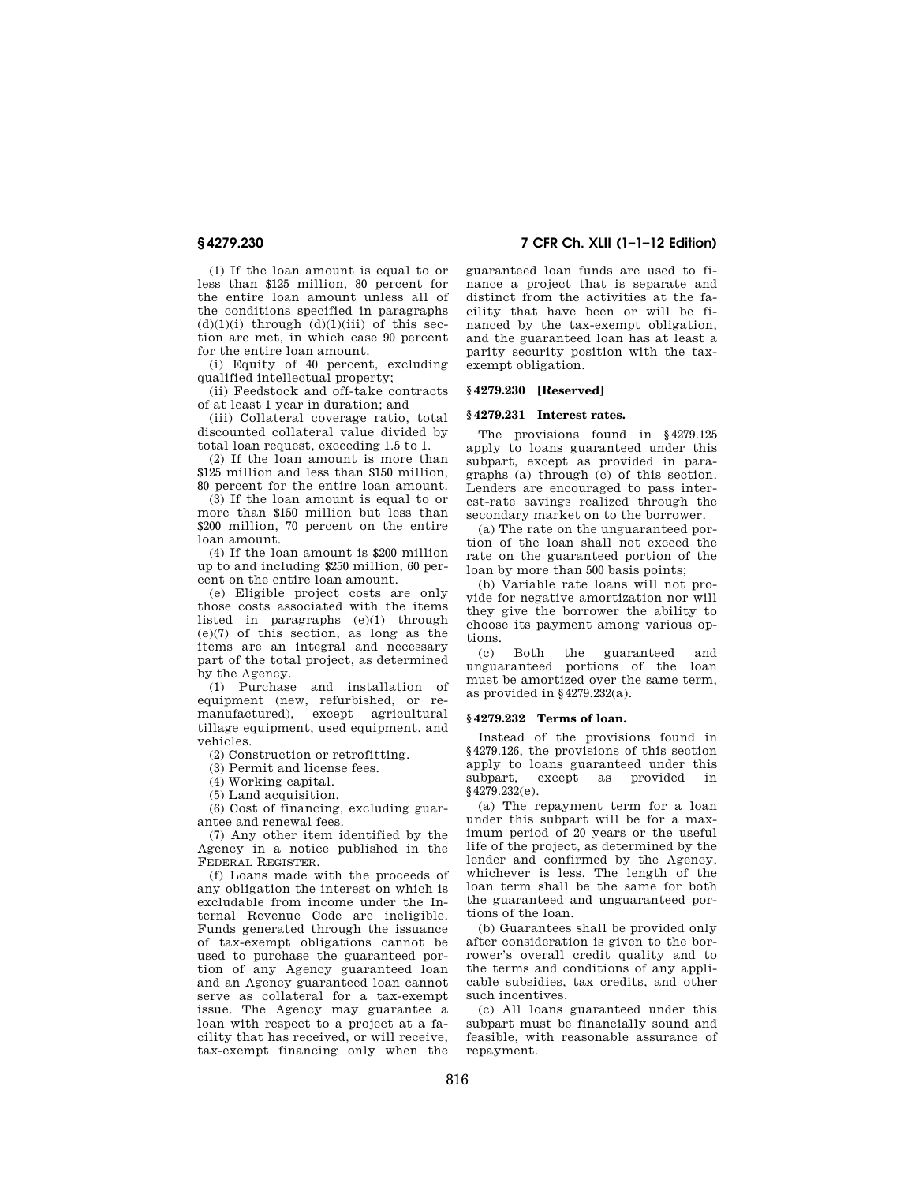(1) If the loan amount is equal to or less than \$125 million, 80 percent for the entire loan amount unless all of the conditions specified in paragraphs  $(d)(1)(i)$  through  $(d)(1)(iii)$  of this section are met, in which case 90 percent for the entire loan amount.

(i) Equity of 40 percent, excluding qualified intellectual property;

(ii) Feedstock and off-take contracts of at least 1 year in duration; and

(iii) Collateral coverage ratio, total discounted collateral value divided by total loan request, exceeding 1.5 to 1.

(2) If the loan amount is more than \$125 million and less than \$150 million, 80 percent for the entire loan amount.

 $(3)$  If the loan amount is equal to or more than \$150 million but less than \$200 million, 70 percent on the entire loan amount.

(4) If the loan amount is \$200 million up to and including \$250 million, 60 percent on the entire loan amount.

(e) Eligible project costs are only those costs associated with the items listed in paragraphs (e)(1) through (e)(7) of this section, as long as the items are an integral and necessary part of the total project, as determined by the Agency.

(1) Purchase and installation of equipment (new, refurbished, or remanufactured), except agricultural tillage equipment, used equipment, and vehicles.

(2) Construction or retrofitting.

(3) Permit and license fees.

(4) Working capital.

(5) Land acquisition.

(6) Cost of financing, excluding guarantee and renewal fees.

(7) Any other item identified by the Agency in a notice published in the FEDERAL REGISTER.

(f) Loans made with the proceeds of any obligation the interest on which is excludable from income under the Internal Revenue Code are ineligible. Funds generated through the issuance of tax-exempt obligations cannot be used to purchase the guaranteed portion of any Agency guaranteed loan and an Agency guaranteed loan cannot serve as collateral for a tax-exempt issue. The Agency may guarantee a loan with respect to a project at a facility that has received, or will receive, tax-exempt financing only when the

**§ 4279.230 7 CFR Ch. XLII (1–1–12 Edition)** 

guaranteed loan funds are used to finance a project that is separate and distinct from the activities at the facility that have been or will be financed by the tax-exempt obligation, and the guaranteed loan has at least a parity security position with the taxexempt obligation.

#### **§ 4279.230 [Reserved]**

#### **§ 4279.231 Interest rates.**

The provisions found in §4279.125 apply to loans guaranteed under this subpart, except as provided in paragraphs (a) through (c) of this section. Lenders are encouraged to pass interest-rate savings realized through the secondary market on to the borrower.

(a) The rate on the unguaranteed portion of the loan shall not exceed the rate on the guaranteed portion of the loan by more than 500 basis points;

(b) Variable rate loans will not provide for negative amortization nor will they give the borrower the ability to choose its payment among various options.

(c) Both the guaranteed and unguaranteed portions of the loan must be amortized over the same term, as provided in §4279.232(a).

#### **§ 4279.232 Terms of loan.**

Instead of the provisions found in §4279.126, the provisions of this section apply to loans guaranteed under this subpart, except as provided in §4279.232(e).

(a) The repayment term for a loan under this subpart will be for a maximum period of 20 years or the useful life of the project, as determined by the lender and confirmed by the Agency, whichever is less. The length of the loan term shall be the same for both the guaranteed and unguaranteed portions of the loan.

(b) Guarantees shall be provided only after consideration is given to the borrower's overall credit quality and to the terms and conditions of any applicable subsidies, tax credits, and other such incentives.

(c) All loans guaranteed under this subpart must be financially sound and feasible, with reasonable assurance of repayment.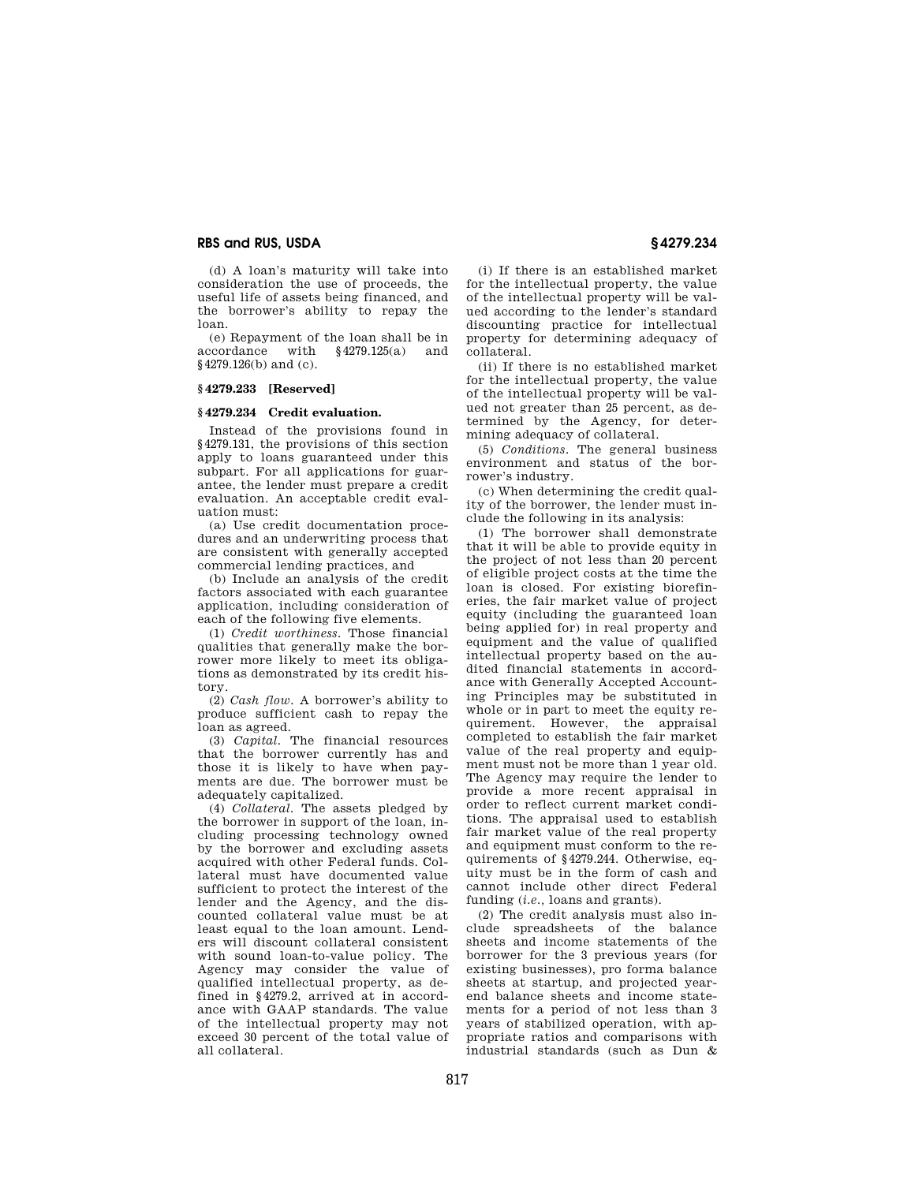(d) A loan's maturity will take into consideration the use of proceeds, the useful life of assets being financed, and the borrower's ability to repay the loan.

(e) Repayment of the loan shall be in coordance with  $$4279.125(a)$  and accordance with §4279.126(b) and (c).

#### **§ 4279.233 [Reserved]**

#### **§ 4279.234 Credit evaluation.**

Instead of the provisions found in §4279.131, the provisions of this section apply to loans guaranteed under this subpart. For all applications for guarantee, the lender must prepare a credit evaluation. An acceptable credit evaluation must:

(a) Use credit documentation procedures and an underwriting process that are consistent with generally accepted commercial lending practices, and

(b) Include an analysis of the credit factors associated with each guarantee application, including consideration of each of the following five elements.

(1) *Credit worthiness.* Those financial qualities that generally make the borrower more likely to meet its obligations as demonstrated by its credit history.

(2) *Cash flow.* A borrower's ability to produce sufficient cash to repay the loan as agreed.

(3) *Capital.* The financial resources that the borrower currently has and those it is likely to have when payments are due. The borrower must be adequately capitalized.

(4) *Collateral.* The assets pledged by the borrower in support of the loan, including processing technology owned by the borrower and excluding assets acquired with other Federal funds. Collateral must have documented value sufficient to protect the interest of the lender and the Agency, and the discounted collateral value must be at least equal to the loan amount. Lenders will discount collateral consistent with sound loan-to-value policy. The Agency may consider the value of qualified intellectual property, as defined in §4279.2, arrived at in accordance with GAAP standards. The value of the intellectual property may not exceed 30 percent of the total value of all collateral.

(i) If there is an established market for the intellectual property, the value of the intellectual property will be valued according to the lender's standard discounting practice for intellectual property for determining adequacy of collateral.

(ii) If there is no established market for the intellectual property, the value of the intellectual property will be valued not greater than 25 percent, as determined by the Agency, for determining adequacy of collateral.

(5) *Conditions.* The general business environment and status of the borrower's industry.

(c) When determining the credit quality of the borrower, the lender must include the following in its analysis:

(1) The borrower shall demonstrate that it will be able to provide equity in the project of not less than 20 percent of eligible project costs at the time the loan is closed. For existing biorefineries, the fair market value of project equity (including the guaranteed loan being applied for) in real property and equipment and the value of qualified intellectual property based on the audited financial statements in accordance with Generally Accepted Accounting Principles may be substituted in whole or in part to meet the equity requirement. However, the appraisal completed to establish the fair market value of the real property and equipment must not be more than 1 year old. The Agency may require the lender to provide a more recent appraisal in order to reflect current market conditions. The appraisal used to establish fair market value of the real property and equipment must conform to the requirements of §4279.244. Otherwise, equity must be in the form of cash and cannot include other direct Federal funding (*i.e.*, loans and grants).

(2) The credit analysis must also include spreadsheets of the balance sheets and income statements of the borrower for the 3 previous years (for existing businesses), pro forma balance sheets at startup, and projected yearend balance sheets and income statements for a period of not less than 3 years of stabilized operation, with appropriate ratios and comparisons with industrial standards (such as Dun &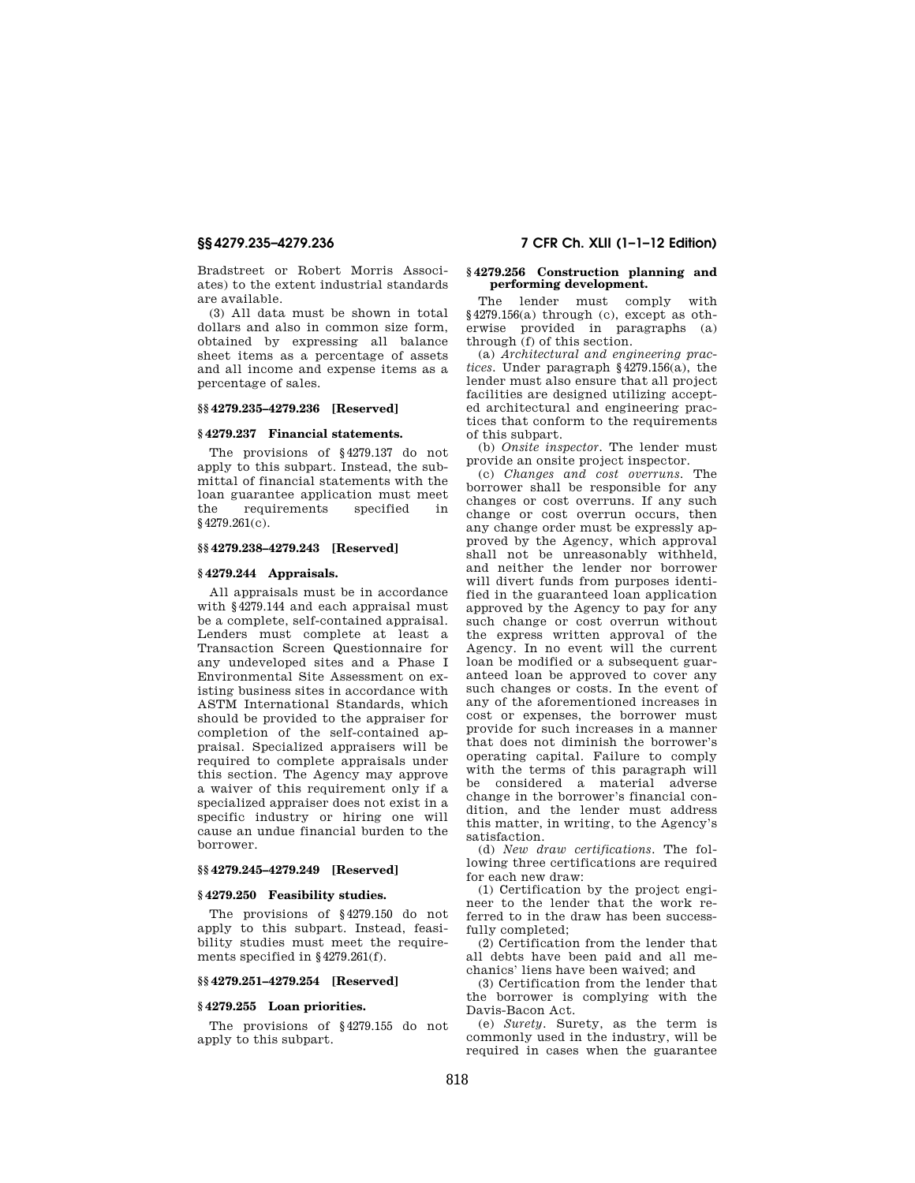Bradstreet or Robert Morris Associates) to the extent industrial standards are available.

(3) All data must be shown in total dollars and also in common size form, obtained by expressing all balance sheet items as a percentage of assets and all income and expense items as a percentage of sales.

#### **§§ 4279.235–4279.236 [Reserved]**

# **§ 4279.237 Financial statements.**

The provisions of §4279.137 do not apply to this subpart. Instead, the submittal of financial statements with the loan guarantee application must meet the requirements specified in §4279.261(c).

### **§§ 4279.238–4279.243 [Reserved]**

## **§ 4279.244 Appraisals.**

All appraisals must be in accordance with §4279.144 and each appraisal must be a complete, self-contained appraisal. Lenders must complete at least a Transaction Screen Questionnaire for any undeveloped sites and a Phase I Environmental Site Assessment on existing business sites in accordance with ASTM International Standards, which should be provided to the appraiser for completion of the self-contained appraisal. Specialized appraisers will be required to complete appraisals under this section. The Agency may approve a waiver of this requirement only if a specialized appraiser does not exist in a specific industry or hiring one will cause an undue financial burden to the borrower.

### **§§ 4279.245–4279.249 [Reserved]**

## **§ 4279.250 Feasibility studies.**

The provisions of §4279.150 do not apply to this subpart. Instead, feasibility studies must meet the requirements specified in §4279.261(f).

## **§§ 4279.251–4279.254 [Reserved]**

## **§ 4279.255 Loan priorities.**

The provisions of §4279.155 do not apply to this subpart.

# **§§ 4279.235–4279.236 7 CFR Ch. XLII (1–1–12 Edition)**

## **§ 4279.256 Construction planning and performing development.**

The lender must comply with §4279.156(a) through (c), except as otherwise provided in paragraphs (a) through (f) of this section.

(a) *Architectural and engineering practices.* Under paragraph §4279.156(a), the lender must also ensure that all project facilities are designed utilizing accepted architectural and engineering practices that conform to the requirements of this subpart.

(b) *Onsite inspector.* The lender must provide an onsite project inspector.

(c) *Changes and cost overruns.* The borrower shall be responsible for any changes or cost overruns. If any such change or cost overrun occurs, then any change order must be expressly approved by the Agency, which approval shall not be unreasonably withheld, and neither the lender nor borrower will divert funds from purposes identified in the guaranteed loan application approved by the Agency to pay for any such change or cost overrun without the express written approval of the Agency. In no event will the current loan be modified or a subsequent guaranteed loan be approved to cover any such changes or costs. In the event of any of the aforementioned increases in cost or expenses, the borrower must provide for such increases in a manner that does not diminish the borrower's operating capital. Failure to comply with the terms of this paragraph will be considered a material adverse change in the borrower's financial condition, and the lender must address this matter, in writing, to the Agency's satisfaction.

(d) *New draw certifications.* The following three certifications are required for each new draw:

(1) Certification by the project engineer to the lender that the work referred to in the draw has been successfully completed;

(2) Certification from the lender that all debts have been paid and all mechanics' liens have been waived; and

(3) Certification from the lender that the borrower is complying with the Davis-Bacon Act.

(e) *Surety.* Surety, as the term is commonly used in the industry, will be required in cases when the guarantee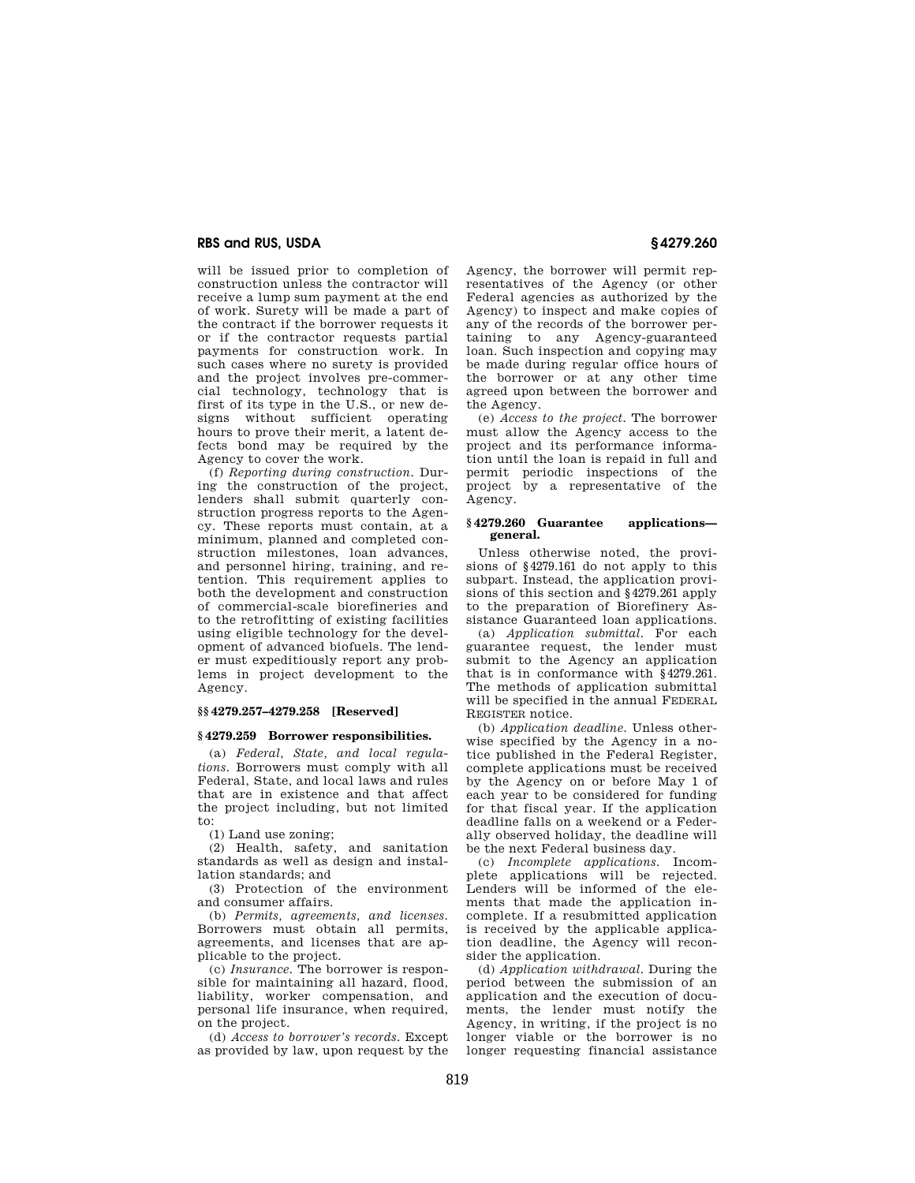will be issued prior to completion of construction unless the contractor will receive a lump sum payment at the end of work. Surety will be made a part of the contract if the borrower requests it or if the contractor requests partial payments for construction work. In such cases where no surety is provided and the project involves pre-commercial technology, technology that is first of its type in the U.S., or new designs without sufficient operating hours to prove their merit, a latent defects bond may be required by the Agency to cover the work.

(f) *Reporting during construction.* During the construction of the project, lenders shall submit quarterly construction progress reports to the Agency. These reports must contain, at a minimum, planned and completed construction milestones, loan advances, and personnel hiring, training, and retention. This requirement applies to both the development and construction of commercial-scale biorefineries and to the retrofitting of existing facilities using eligible technology for the development of advanced biofuels. The lender must expeditiously report any problems in project development to the Agency

## **§§ 4279.257–4279.258 [Reserved]**

#### **§ 4279.259 Borrower responsibilities.**

(a) *Federal, State, and local regulations.* Borrowers must comply with all Federal, State, and local laws and rules that are in existence and that affect the project including, but not limited to:

(1) Land use zoning;

(2) Health, safety, and sanitation standards as well as design and installation standards; and

(3) Protection of the environment and consumer affairs.

(b) *Permits, agreements, and licenses.*  Borrowers must obtain all permits, agreements, and licenses that are applicable to the project.

(c) *Insurance.* The borrower is responsible for maintaining all hazard, flood, liability, worker compensation, and personal life insurance, when required, on the project.

(d) *Access to borrower's records.* Except as provided by law, upon request by the Agency, the borrower will permit representatives of the Agency (or other Federal agencies as authorized by the Agency) to inspect and make copies of any of the records of the borrower pertaining to any Agency-guaranteed loan. Such inspection and copying may be made during regular office hours of the borrower or at any other time agreed upon between the borrower and the Agency.

(e) *Access to the project.* The borrower must allow the Agency access to the project and its performance information until the loan is repaid in full and permit periodic inspections of the project by a representative of the Agency.

### **§ 4279.260 Guarantee applications general.**

Unless otherwise noted, the provisions of §4279.161 do not apply to this subpart. Instead, the application provisions of this section and §4279.261 apply to the preparation of Biorefinery Assistance Guaranteed loan applications.

(a) *Application submittal.* For each guarantee request, the lender must submit to the Agency an application that is in conformance with §4279.261. The methods of application submittal will be specified in the annual FEDERAL REGISTER notice.

(b) *Application deadline.* Unless otherwise specified by the Agency in a notice published in the Federal Register, complete applications must be received by the Agency on or before May 1 of each year to be considered for funding for that fiscal year. If the application deadline falls on a weekend or a Federally observed holiday, the deadline will be the next Federal business day.

(c) *Incomplete applications.* Incomplete applications will be rejected. Lenders will be informed of the elements that made the application incomplete. If a resubmitted application is received by the applicable application deadline, the Agency will reconsider the application.

(d) *Application withdrawal.* During the period between the submission of an application and the execution of documents, the lender must notify the Agency, in writing, if the project is no longer viable or the borrower is no longer requesting financial assistance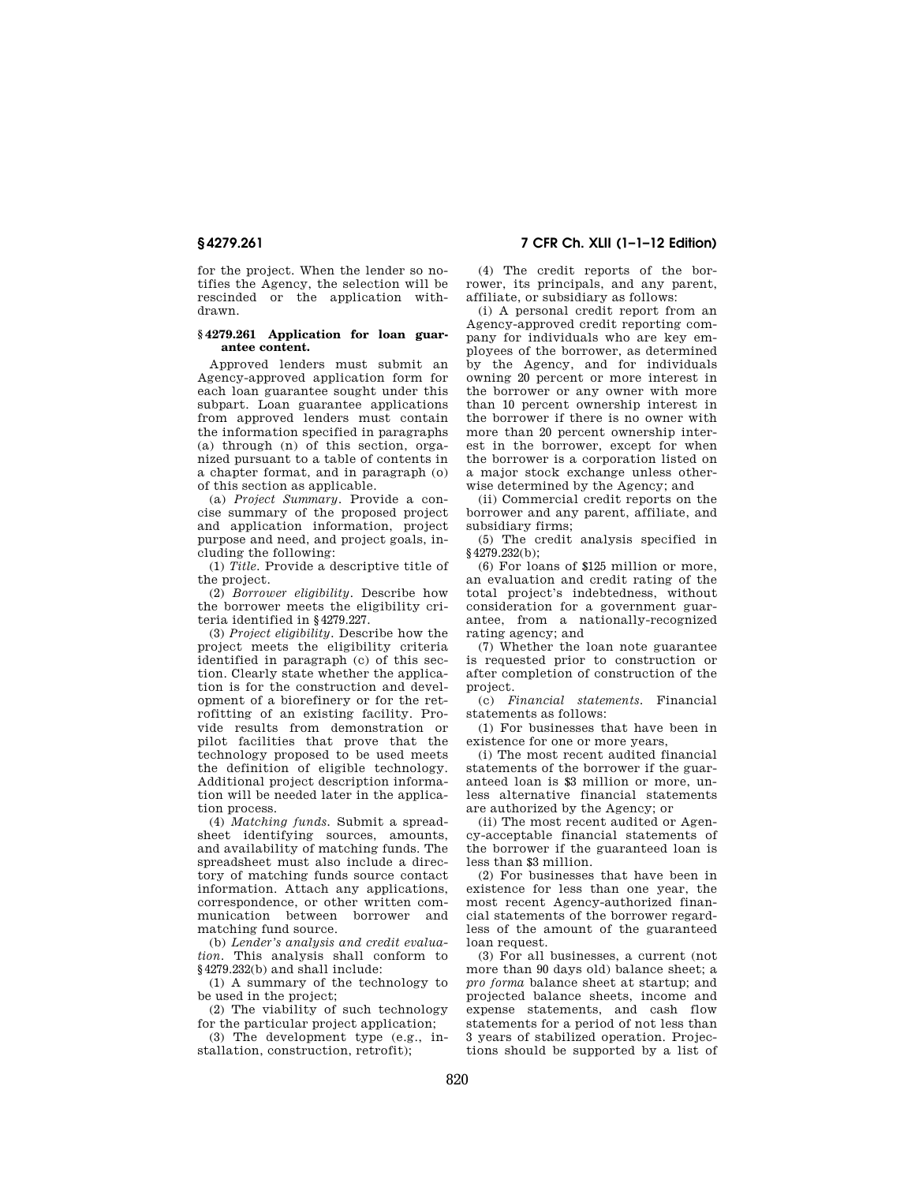for the project. When the lender so notifies the Agency, the selection will be rescinded or the application withdrawn.

### **§ 4279.261 Application for loan guarantee content.**

Approved lenders must submit an Agency-approved application form for each loan guarantee sought under this subpart. Loan guarantee applications from approved lenders must contain the information specified in paragraphs (a) through (n) of this section, organized pursuant to a table of contents in a chapter format, and in paragraph (o) of this section as applicable.

(a) *Project Summary.* Provide a concise summary of the proposed project and application information, project purpose and need, and project goals, including the following:

(1) *Title.* Provide a descriptive title of the project.

(2) *Borrower eligibility.* Describe how the borrower meets the eligibility criteria identified in §4279.227.

(3) *Project eligibility.* Describe how the project meets the eligibility criteria identified in paragraph (c) of this section. Clearly state whether the application is for the construction and development of a biorefinery or for the retrofitting of an existing facility. Provide results from demonstration or pilot facilities that prove that the technology proposed to be used meets the definition of eligible technology. Additional project description information will be needed later in the application process.

(4) *Matching funds.* Submit a spreadsheet identifying sources, amounts, and availability of matching funds. The spreadsheet must also include a directory of matching funds source contact information. Attach any applications, correspondence, or other written communication between borrower and matching fund source.

(b) *Lender's analysis and credit evaluation.* This analysis shall conform to §4279.232(b) and shall include:

(1) A summary of the technology to be used in the project;

(2) The viability of such technology for the particular project application;

(3) The development type (e.g., installation, construction, retrofit);

**§ 4279.261 7 CFR Ch. XLII (1–1–12 Edition)** 

(4) The credit reports of the borrower, its principals, and any parent, affiliate, or subsidiary as follows:

(i) A personal credit report from an Agency-approved credit reporting company for individuals who are key employees of the borrower, as determined by the Agency, and for individuals owning 20 percent or more interest in the borrower or any owner with more than 10 percent ownership interest in the borrower if there is no owner with more than 20 percent ownership interest in the borrower, except for when the borrower is a corporation listed on a major stock exchange unless otherwise determined by the Agency; and

(ii) Commercial credit reports on the borrower and any parent, affiliate, and subsidiary firms;

(5) The credit analysis specified in §4279.232(b);

(6) For loans of \$125 million or more, an evaluation and credit rating of the total project's indebtedness, without consideration for a government guarantee, from a nationally-recognized rating agency; and

(7) Whether the loan note guarantee is requested prior to construction or after completion of construction of the project.

(c) *Financial statements.* Financial statements as follows:

(1) For businesses that have been in existence for one or more years,

(i) The most recent audited financial statements of the borrower if the guaranteed loan is \$3 million or more, unless alternative financial statements are authorized by the Agency; or

(ii) The most recent audited or Agency-acceptable financial statements of the borrower if the guaranteed loan is less than \$3 million.

(2) For businesses that have been in existence for less than one year, the most recent Agency-authorized financial statements of the borrower regardless of the amount of the guaranteed loan request.

(3) For all businesses, a current (not more than 90 days old) balance sheet; a *pro forma* balance sheet at startup; and projected balance sheets, income and expense statements, and cash flow statements for a period of not less than 3 years of stabilized operation. Projections should be supported by a list of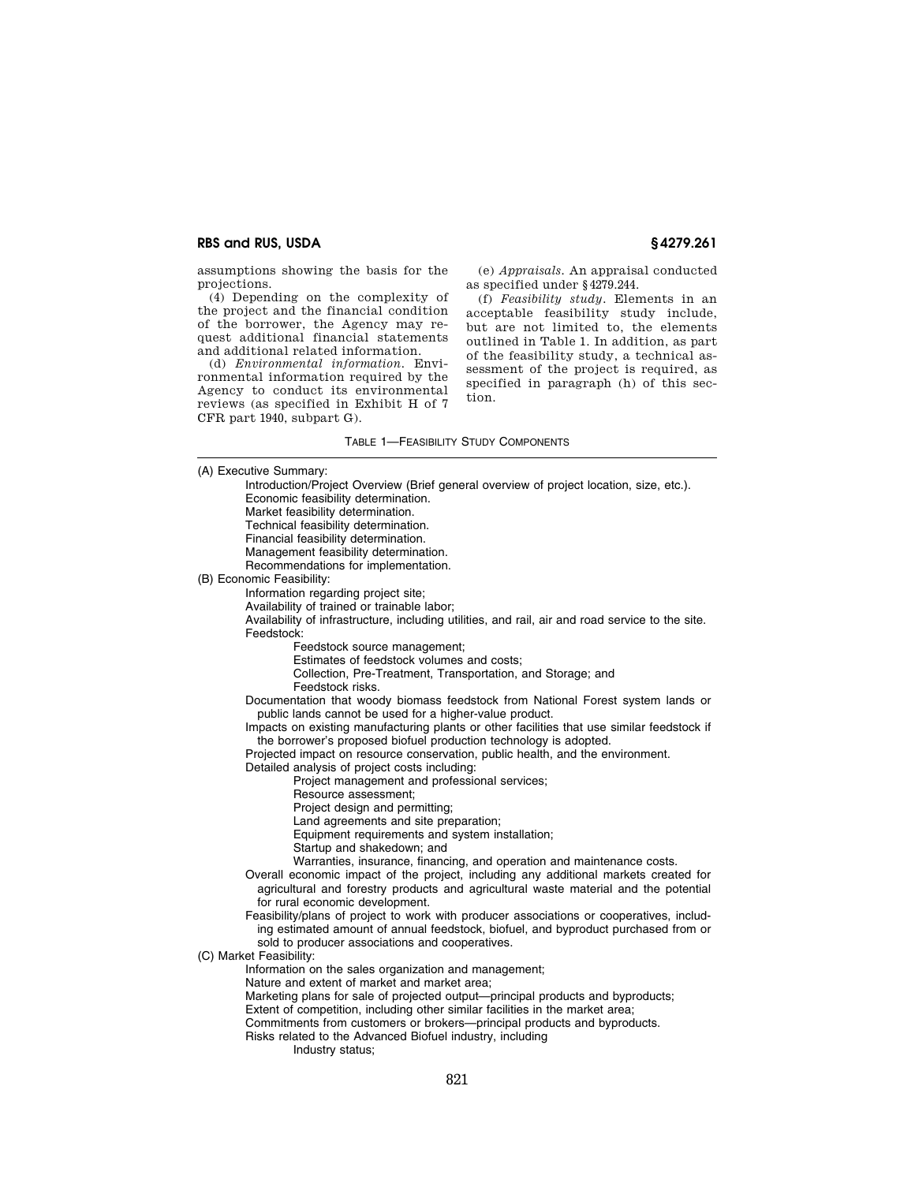assumptions showing the basis for the projections.

(4) Depending on the complexity of the project and the financial condition of the borrower, the Agency may request additional financial statements and additional related information.

(d) *Environmental information.* Environmental information required by the Agency to conduct its environmental reviews (as specified in Exhibit H of 7 CFR part 1940, subpart G).

(e) *Appraisals.* An appraisal conducted as specified under §4279.244.

(f) *Feasibility study.* Elements in an acceptable feasibility study include, but are not limited to, the elements outlined in Table 1. In addition, as part of the feasibility study, a technical assessment of the project is required, as specified in paragraph (h) of this section.

#### TABLE 1—FEASIBILITY STUDY COMPONENTS

(A) Executive Summary: Introduction/Project Overview (Brief general overview of project location, size, etc.). Economic feasibility determination. Market feasibility determination. Technical feasibility determination. Financial feasibility determination. Management feasibility determination. Recommendations for implementation. (B) Economic Feasibility: Information regarding project site; Availability of trained or trainable labor; Availability of infrastructure, including utilities, and rail, air and road service to the site. Feedstock: Feedstock source management; Estimates of feedstock volumes and costs; Collection, Pre-Treatment, Transportation, and Storage; and Feedstock risks. Documentation that woody biomass feedstock from National Forest system lands or public lands cannot be used for a higher-value product. Impacts on existing manufacturing plants or other facilities that use similar feedstock if the borrower's proposed biofuel production technology is adopted. Projected impact on resource conservation, public health, and the environment. Detailed analysis of project costs including: Project management and professional services; Resource assessment; Project design and permitting; Land agreements and site preparation; Equipment requirements and system installation; Startup and shakedown; and Warranties, insurance, financing, and operation and maintenance costs. Overall economic impact of the project, including any additional markets created for agricultural and forestry products and agricultural waste material and the potential for rural economic development. Feasibility/plans of project to work with producer associations or cooperatives, including estimated amount of annual feedstock, biofuel, and byproduct purchased from or sold to producer associations and cooperatives. (C) Market Feasibility: Information on the sales organization and management; Nature and extent of market and market area; Marketing plans for sale of projected output—principal products and byproducts; Extent of competition, including other similar facilities in the market area; Commitments from customers or brokers—principal products and byproducts. Risks related to the Advanced Biofuel industry, including Industry status;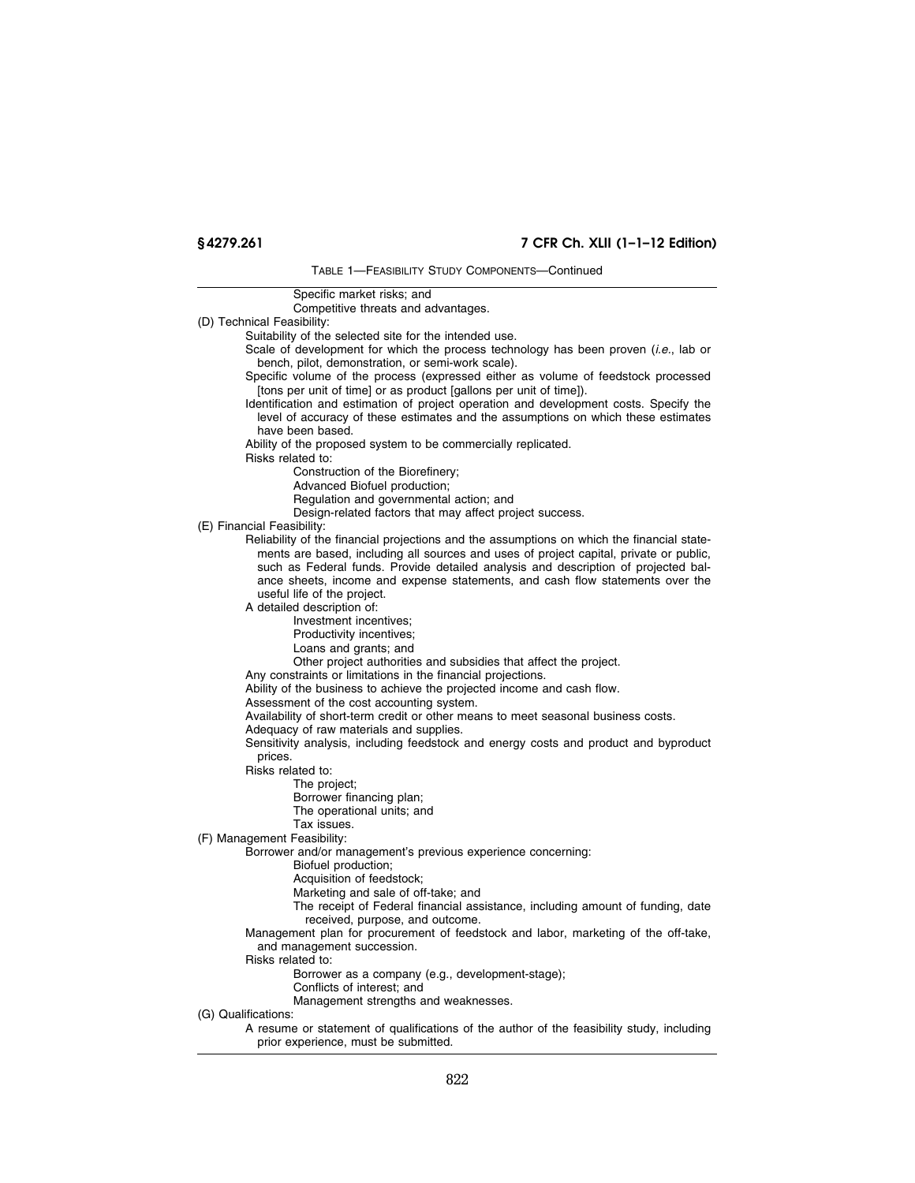# **§ 4279.261 7 CFR Ch. XLII (1–1–12 Edition)**

TABLE 1—FEASIBILITY STUDY COMPONENTS—Continued

Specific market risks; and Competitive threats and advantages. (D) Technical Feasibility: Suitability of the selected site for the intended use. Scale of development for which the process technology has been proven (*i.e.*, lab or bench, pilot, demonstration, or semi-work scale). Specific volume of the process (expressed either as volume of feedstock processed [tons per unit of time] or as product [gallons per unit of time]). Identification and estimation of project operation and development costs. Specify the level of accuracy of these estimates and the assumptions on which these estimates have been based. Ability of the proposed system to be commercially replicated. Risks related to: Construction of the Biorefinery; Advanced Biofuel production; Regulation and governmental action; and Design-related factors that may affect project success. (E) Financial Feasibility: Reliability of the financial projections and the assumptions on which the financial statements are based, including all sources and uses of project capital, private or public, such as Federal funds. Provide detailed analysis and description of projected balance sheets, income and expense statements, and cash flow statements over the useful life of the project. A detailed description of: Investment incentives; Productivity incentives; Loans and grants; and Other project authorities and subsidies that affect the project. Any constraints or limitations in the financial projections. Ability of the business to achieve the projected income and cash flow. Assessment of the cost accounting system. Availability of short-term credit or other means to meet seasonal business costs. Adequacy of raw materials and supplies. Sensitivity analysis, including feedstock and energy costs and product and byproduct prices. Risks related to: The project; Borrower financing plan; The operational units; and Tax issues. (F) Management Feasibility: Borrower and/or management's previous experience concerning: Biofuel production; Acquisition of feedstock; Marketing and sale of off-take; and The receipt of Federal financial assistance, including amount of funding, date received, purpose, and outcome. Management plan for procurement of feedstock and labor, marketing of the off-take, and management succession. Risks related to: Borrower as a company (e.g., development-stage); Conflicts of interest; and Management strengths and weaknesses. (G) Qualifications: A resume or statement of qualifications of the author of the feasibility study, including prior experience, must be submitted.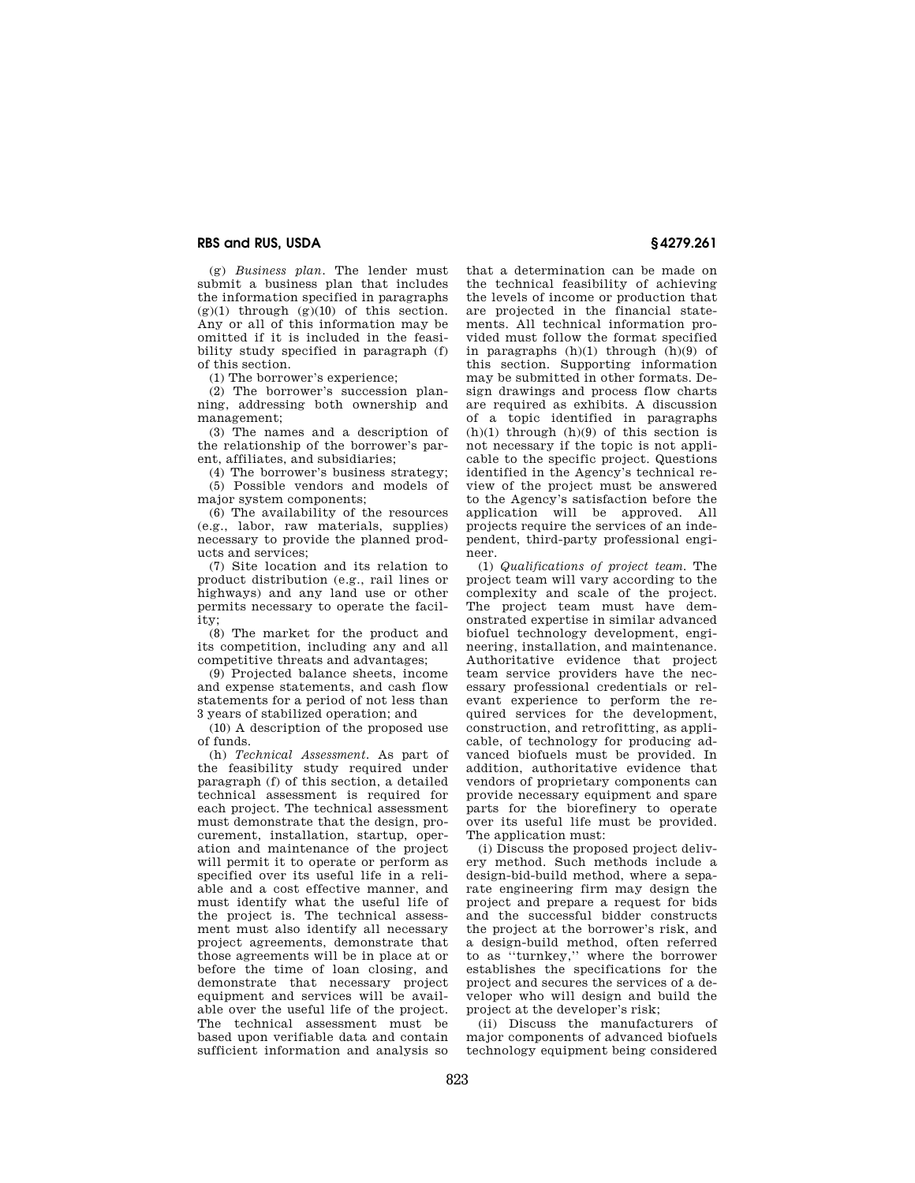(g) *Business plan.* The lender must submit a business plan that includes the information specified in paragraphs  $(g)(1)$  through  $(g)(10)$  of this section. Any or all of this information may be omitted if it is included in the feasibility study specified in paragraph (f) of this section.

(1) The borrower's experience;

(2) The borrower's succession planning, addressing both ownership and management;

(3) The names and a description of the relationship of the borrower's parent, affiliates, and subsidiaries;

(4) The borrower's business strategy; (5) Possible vendors and models of major system components;

(6) The availability of the resources (e.g., labor, raw materials, supplies) necessary to provide the planned products and services;

(7) Site location and its relation to product distribution (e.g., rail lines or highways) and any land use or other permits necessary to operate the facility;

(8) The market for the product and its competition, including any and all competitive threats and advantages;

(9) Projected balance sheets, income and expense statements, and cash flow statements for a period of not less than 3 years of stabilized operation; and

(10) A description of the proposed use of funds.

(h) *Technical Assessment.* As part of the feasibility study required under paragraph (f) of this section, a detailed technical assessment is required for each project. The technical assessment must demonstrate that the design, procurement, installation, startup, operation and maintenance of the project will permit it to operate or perform as specified over its useful life in a reliable and a cost effective manner, and must identify what the useful life of the project is. The technical assessment must also identify all necessary project agreements, demonstrate that those agreements will be in place at or before the time of loan closing, and demonstrate that necessary project equipment and services will be available over the useful life of the project. The technical assessment must be based upon verifiable data and contain sufficient information and analysis so

that a determination can be made on the technical feasibility of achieving the levels of income or production that are projected in the financial statements. All technical information provided must follow the format specified in paragraphs  $(h)(1)$  through  $(h)(9)$  of this section. Supporting information may be submitted in other formats. Design drawings and process flow charts are required as exhibits. A discussion of a topic identified in paragraphs  $(h)(1)$  through  $(h)(9)$  of this section is not necessary if the topic is not applicable to the specific project. Questions identified in the Agency's technical review of the project must be answered to the Agency's satisfaction before the application will be approved. All projects require the services of an independent, third-party professional engineer.

(1) *Qualifications of project team.* The project team will vary according to the complexity and scale of the project. The project team must have demonstrated expertise in similar advanced biofuel technology development, engineering, installation, and maintenance. Authoritative evidence that project team service providers have the necessary professional credentials or relevant experience to perform the required services for the development, construction, and retrofitting, as applicable, of technology for producing advanced biofuels must be provided. In addition, authoritative evidence that vendors of proprietary components can provide necessary equipment and spare parts for the biorefinery to operate over its useful life must be provided. The application must:

(i) Discuss the proposed project delivery method. Such methods include a design-bid-build method, where a separate engineering firm may design the project and prepare a request for bids and the successful bidder constructs the project at the borrower's risk, and a design-build method, often referred to as ''turnkey,'' where the borrower establishes the specifications for the project and secures the services of a developer who will design and build the project at the developer's risk;

(ii) Discuss the manufacturers of major components of advanced biofuels technology equipment being considered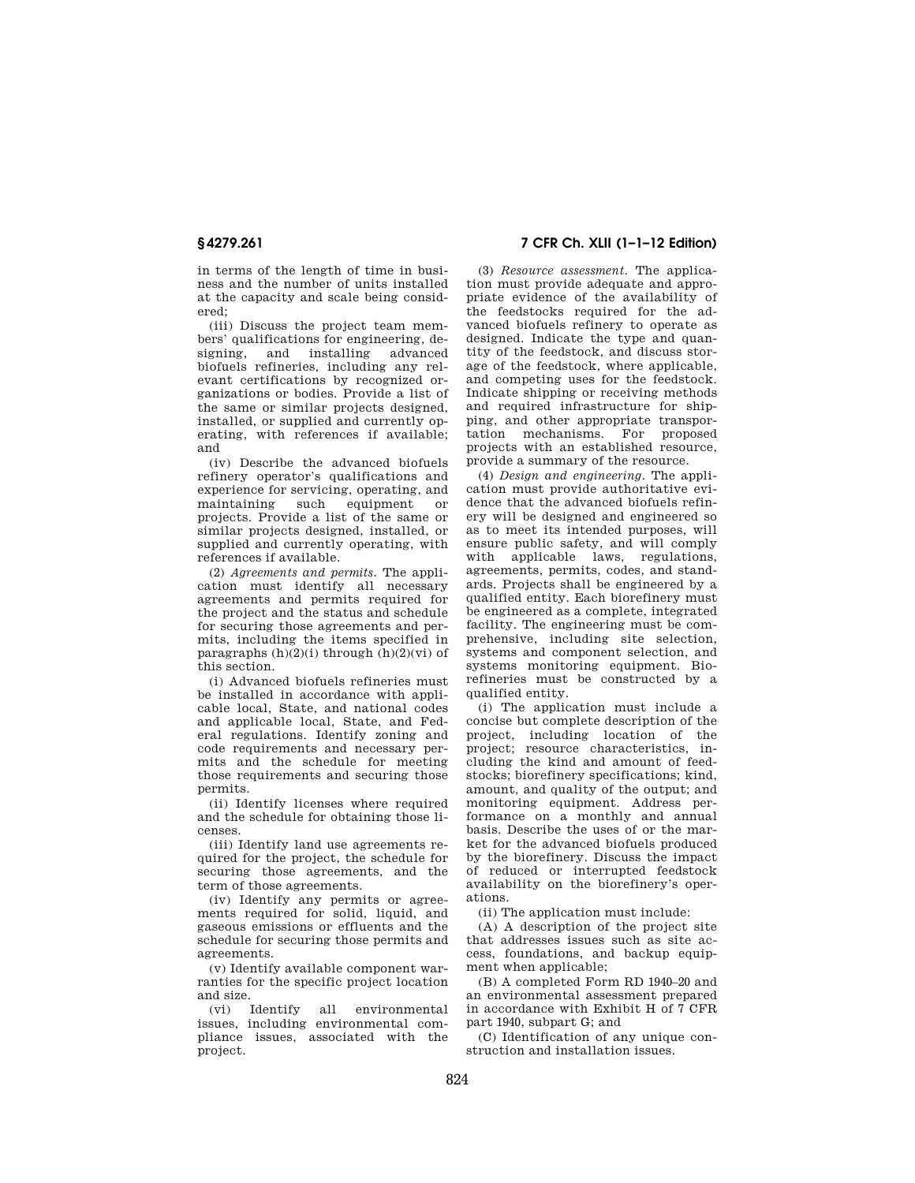in terms of the length of time in business and the number of units installed at the capacity and scale being considered;

(iii) Discuss the project team members' qualifications for engineering, designing, and installing advanced biofuels refineries, including any relevant certifications by recognized organizations or bodies. Provide a list of the same or similar projects designed, installed, or supplied and currently operating, with references if available; and

(iv) Describe the advanced biofuels refinery operator's qualifications and experience for servicing, operating, and maintaining such equipment or projects. Provide a list of the same or similar projects designed, installed, or supplied and currently operating, with references if available.

(2) *Agreements and permits.* The application must identify all necessary agreements and permits required for the project and the status and schedule for securing those agreements and permits, including the items specified in paragraphs  $(h)(2)(i)$  through  $(h)(2)(vi)$  of this section.

(i) Advanced biofuels refineries must be installed in accordance with applicable local, State, and national codes and applicable local, State, and Federal regulations. Identify zoning and code requirements and necessary permits and the schedule for meeting those requirements and securing those permits.

(ii) Identify licenses where required and the schedule for obtaining those licenses.

(iii) Identify land use agreements required for the project, the schedule for securing those agreements, and the term of those agreements.

(iv) Identify any permits or agreements required for solid, liquid, and gaseous emissions or effluents and the schedule for securing those permits and agreements.

(v) Identify available component warranties for the specific project location and size.

(vi) Identify all environmental issues, including environmental compliance issues, associated with the project.

**§ 4279.261 7 CFR Ch. XLII (1–1–12 Edition)** 

(3) *Resource assessment.* The application must provide adequate and appropriate evidence of the availability of the feedstocks required for the advanced biofuels refinery to operate as designed. Indicate the type and quantity of the feedstock, and discuss storage of the feedstock, where applicable, and competing uses for the feedstock. Indicate shipping or receiving methods and required infrastructure for shipping, and other appropriate transportation mechanisms. For proposed projects with an established resource, provide a summary of the resource.

(4) *Design and engineering.* The application must provide authoritative evidence that the advanced biofuels refinery will be designed and engineered so as to meet its intended purposes, will ensure public safety, and will comply with applicable laws, regulations, agreements, permits, codes, and standards. Projects shall be engineered by a qualified entity. Each biorefinery must be engineered as a complete, integrated facility. The engineering must be comprehensive, including site selection, systems and component selection, and systems monitoring equipment. Biorefineries must be constructed by a qualified entity.

(i) The application must include a concise but complete description of the project, including location of the project; resource characteristics, including the kind and amount of feedstocks; biorefinery specifications; kind, amount, and quality of the output; and monitoring equipment. Address performance on a monthly and annual basis. Describe the uses of or the market for the advanced biofuels produced by the biorefinery. Discuss the impact of reduced or interrupted feedstock availability on the biorefinery's operations.

(ii) The application must include:

(A) A description of the project site that addresses issues such as site access, foundations, and backup equipment when applicable;

(B) A completed Form RD 1940–20 and an environmental assessment prepared in accordance with Exhibit H of 7 CFR part 1940, subpart G; and

(C) Identification of any unique construction and installation issues.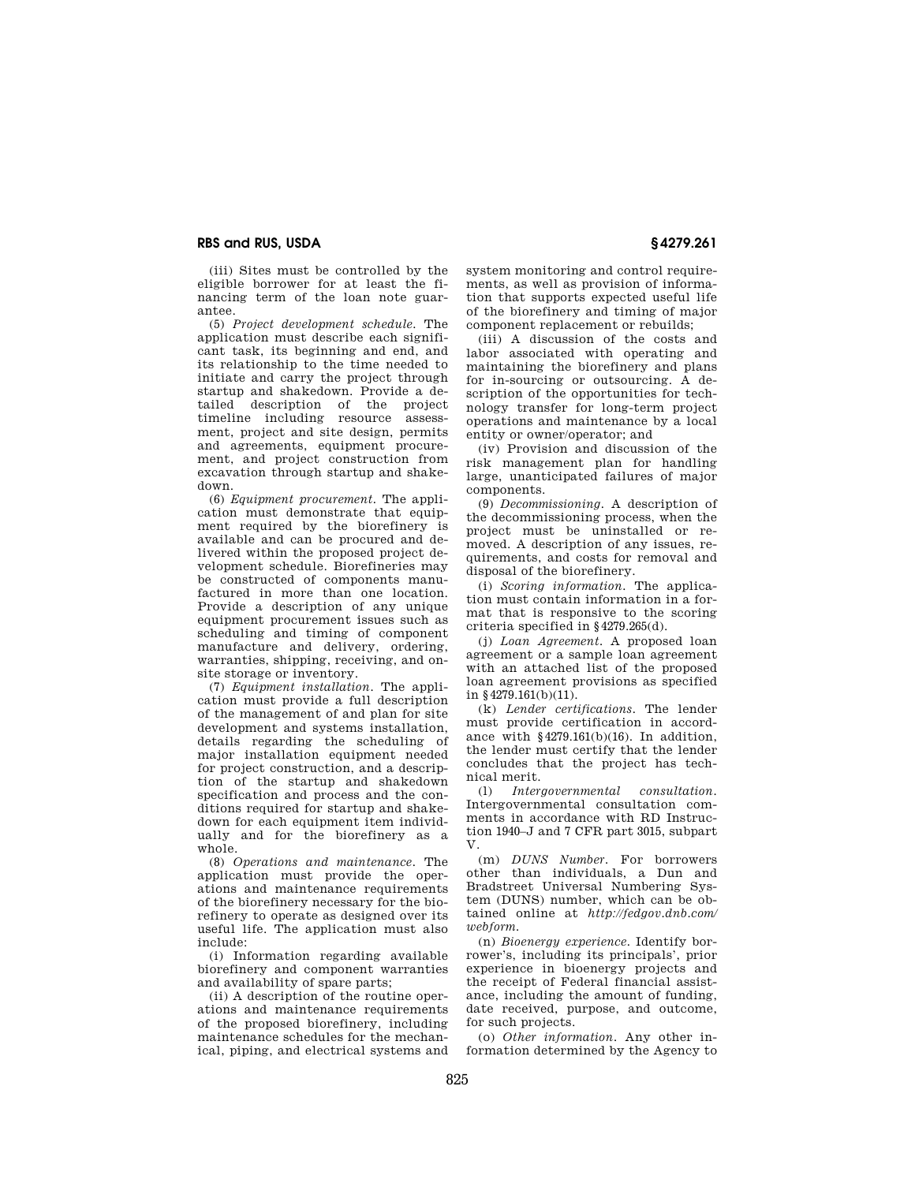(iii) Sites must be controlled by the eligible borrower for at least the financing term of the loan note guarantee.

(5) *Project development schedule.* The application must describe each significant task, its beginning and end, and its relationship to the time needed to initiate and carry the project through startup and shakedown. Provide a detailed description of the project timeline including resource assessment, project and site design, permits and agreements, equipment procurement, and project construction from excavation through startup and shakedown.

(6) *Equipment procurement.* The application must demonstrate that equipment required by the biorefinery is available and can be procured and delivered within the proposed project development schedule. Biorefineries may be constructed of components manufactured in more than one location. Provide a description of any unique equipment procurement issues such as scheduling and timing of component manufacture and delivery, ordering, warranties, shipping, receiving, and onsite storage or inventory.

(7) *Equipment installation.* The application must provide a full description of the management of and plan for site development and systems installation, details regarding the scheduling of major installation equipment needed for project construction, and a description of the startup and shakedown specification and process and the conditions required for startup and shakedown for each equipment item individually and for the biorefinery as a whole.

(8) *Operations and maintenance.* The application must provide the operations and maintenance requirements of the biorefinery necessary for the biorefinery to operate as designed over its useful life. The application must also include:

(i) Information regarding available biorefinery and component warranties and availability of spare parts;

(ii) A description of the routine operations and maintenance requirements of the proposed biorefinery, including maintenance schedules for the mechanical, piping, and electrical systems and system monitoring and control requirements, as well as provision of information that supports expected useful life of the biorefinery and timing of major component replacement or rebuilds;

(iii) A discussion of the costs and labor associated with operating and maintaining the biorefinery and plans for in-sourcing or outsourcing. A description of the opportunities for technology transfer for long-term project operations and maintenance by a local entity or owner/operator; and

(iv) Provision and discussion of the risk management plan for handling large, unanticipated failures of major components.

(9) *Decommissioning.* A description of the decommissioning process, when the project must be uninstalled or removed. A description of any issues, requirements, and costs for removal and disposal of the biorefinery.

(i) *Scoring information.* The application must contain information in a format that is responsive to the scoring criteria specified in §4279.265(d).

(j) *Loan Agreement.* A proposed loan agreement or a sample loan agreement with an attached list of the proposed loan agreement provisions as specified in §4279.161(b)(11).

(k) *Lender certifications.* The lender must provide certification in accordance with  $§4279.161(b)(16)$ . In addition, the lender must certify that the lender concludes that the project has technical merit.

(l) *Intergovernmental consultation.*  Intergovernmental consultation comments in accordance with RD Instruction 1940–J and 7 CFR part 3015, subpart V.

(m) *DUNS Number.* For borrowers other than individuals, a Dun and Bradstreet Universal Numbering System (DUNS) number, which can be obtained online at *http://fedgov.dnb.com/ webform.* 

(n) *Bioenergy experience.* Identify borrower's, including its principals', prior experience in bioenergy projects and the receipt of Federal financial assistance, including the amount of funding, date received, purpose, and outcome, for such projects.

(o) *Other information.* Any other information determined by the Agency to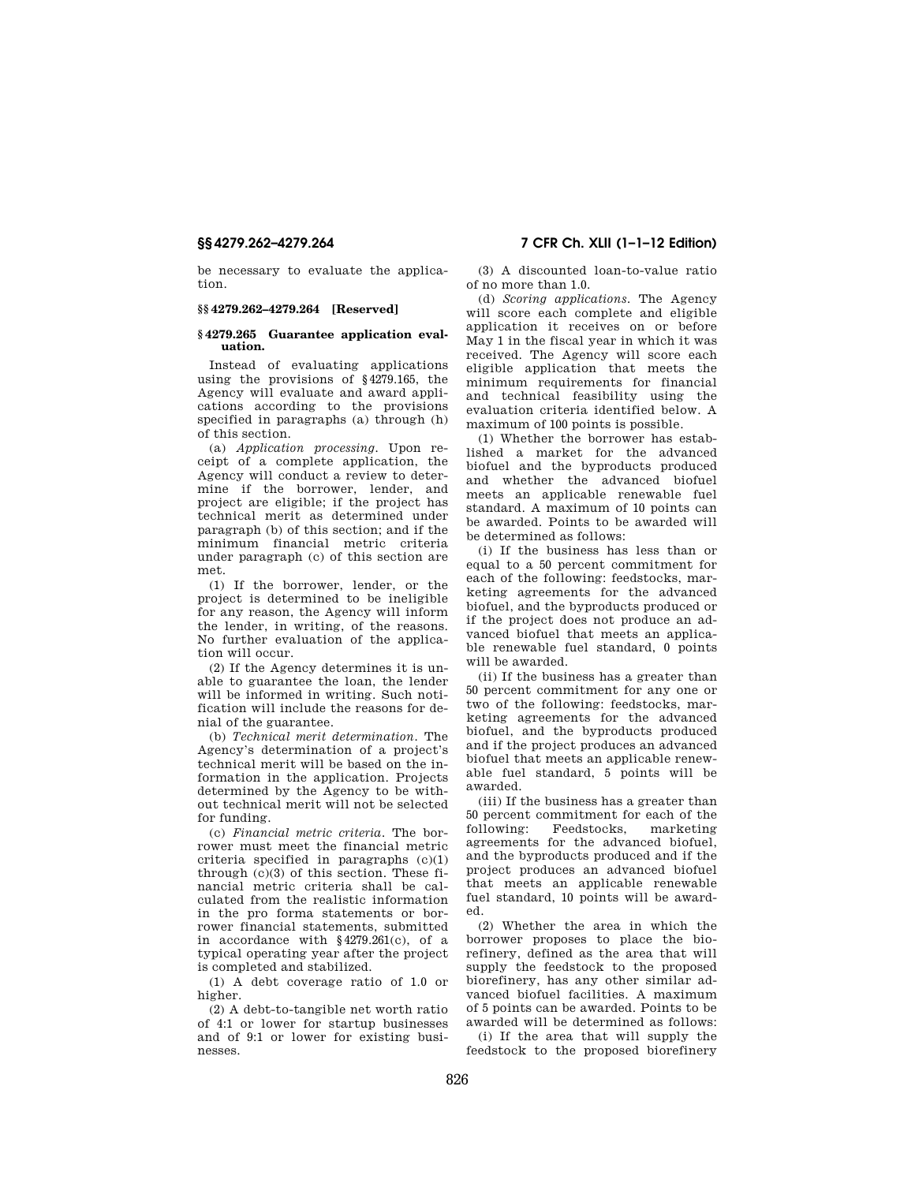be necessary to evaluate the application.

## **§§ 4279.262–4279.264 [Reserved]**

#### **§ 4279.265 Guarantee application evaluation.**

Instead of evaluating applications using the provisions of §4279.165, the Agency will evaluate and award applications according to the provisions specified in paragraphs (a) through (h) of this section.

(a) *Application processing.* Upon receipt of a complete application, the Agency will conduct a review to determine if the borrower, lender, and project are eligible; if the project has technical merit as determined under paragraph (b) of this section; and if the minimum financial metric criteria under paragraph (c) of this section are met.

(1) If the borrower, lender, or the project is determined to be ineligible for any reason, the Agency will inform the lender, in writing, of the reasons. No further evaluation of the application will occur.

(2) If the Agency determines it is unable to guarantee the loan, the lender will be informed in writing. Such notification will include the reasons for denial of the guarantee.

(b) *Technical merit determination.* The Agency's determination of a project's technical merit will be based on the information in the application. Projects determined by the Agency to be without technical merit will not be selected for funding.

(c) *Financial metric criteria.* The borrower must meet the financial metric criteria specified in paragraphs  $(c)(1)$ through (c)(3) of this section. These financial metric criteria shall be calculated from the realistic information in the pro forma statements or borrower financial statements, submitted in accordance with §4279.261(c), of a typical operating year after the project is completed and stabilized.

(1) A debt coverage ratio of 1.0 or higher.

(2) A debt-to-tangible net worth ratio of 4:1 or lower for startup businesses and of 9:1 or lower for existing businesses.

# **§§ 4279.262–4279.264 7 CFR Ch. XLII (1–1–12 Edition)**

(3) A discounted loan-to-value ratio of no more than 1.0.

(d) *Scoring applications.* The Agency will score each complete and eligible application it receives on or before May 1 in the fiscal year in which it was received. The Agency will score each eligible application that meets the minimum requirements for financial and technical feasibility using the evaluation criteria identified below. A maximum of 100 points is possible.

(1) Whether the borrower has established a market for the advanced biofuel and the byproducts produced and whether the advanced biofuel meets an applicable renewable fuel standard. A maximum of 10 points can be awarded. Points to be awarded will be determined as follows:

(i) If the business has less than or equal to a 50 percent commitment for each of the following: feedstocks, marketing agreements for the advanced biofuel, and the byproducts produced or if the project does not produce an advanced biofuel that meets an applicable renewable fuel standard, 0 points will be awarded.

(ii) If the business has a greater than 50 percent commitment for any one or two of the following: feedstocks, marketing agreements for the advanced biofuel, and the byproducts produced and if the project produces an advanced biofuel that meets an applicable renewable fuel standard, 5 points will be awarded.

(iii) If the business has a greater than 50 percent commitment for each of the<br>following: Feedstocks, marketing Feedstocks, agreements for the advanced biofuel, and the byproducts produced and if the project produces an advanced biofuel that meets an applicable renewable fuel standard, 10 points will be awarded.

(2) Whether the area in which the borrower proposes to place the biorefinery, defined as the area that will supply the feedstock to the proposed biorefinery, has any other similar advanced biofuel facilities. A maximum of 5 points can be awarded. Points to be awarded will be determined as follows:

(i) If the area that will supply the feedstock to the proposed biorefinery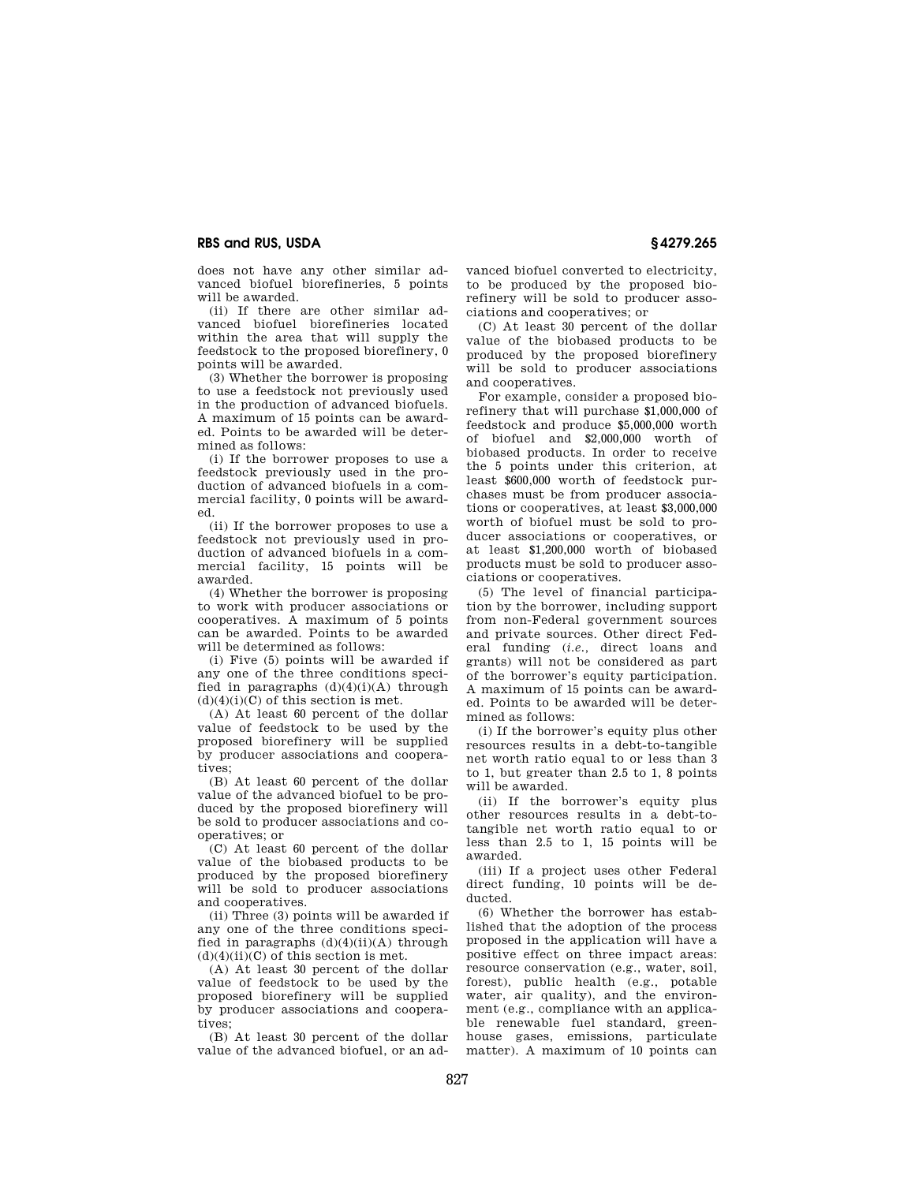does not have any other similar advanced biofuel biorefineries, 5 points will be awarded.

(ii) If there are other similar advanced biofuel biorefineries located within the area that will supply the feedstock to the proposed biorefinery, 0 points will be awarded.

(3) Whether the borrower is proposing to use a feedstock not previously used in the production of advanced biofuels. A maximum of 15 points can be awarded. Points to be awarded will be determined as follows:

(i) If the borrower proposes to use a feedstock previously used in the production of advanced biofuels in a commercial facility, 0 points will be awarded.

(ii) If the borrower proposes to use a feedstock not previously used in production of advanced biofuels in a commercial facility, 15 points will be awarded.

(4) Whether the borrower is proposing to work with producer associations or cooperatives. A maximum of 5 points can be awarded. Points to be awarded will be determined as follows:

(i) Five (5) points will be awarded if any one of the three conditions specified in paragraphs  $(d)(4)(i)(A)$  through  $(d)(4)(i)(C)$  of this section is met.

(A) At least 60 percent of the dollar value of feedstock to be used by the proposed biorefinery will be supplied by producer associations and cooperatives;

(B) At least 60 percent of the dollar value of the advanced biofuel to be produced by the proposed biorefinery will be sold to producer associations and cooperatives; or

(C) At least 60 percent of the dollar value of the biobased products to be produced by the proposed biorefinery will be sold to producer associations and cooperatives.

(ii) Three (3) points will be awarded if any one of the three conditions specified in paragraphs  $(d)(4)(ii)(A)$  through  $(d)(4)(ii)(C)$  of this section is met.

(A) At least 30 percent of the dollar value of feedstock to be used by the proposed biorefinery will be supplied by producer associations and cooperatives;

(B) At least 30 percent of the dollar value of the advanced biofuel, or an ad-

vanced biofuel converted to electricity, to be produced by the proposed biorefinery will be sold to producer associations and cooperatives; or

(C) At least 30 percent of the dollar value of the biobased products to be produced by the proposed biorefinery will be sold to producer associations and cooperatives.

For example, consider a proposed biorefinery that will purchase \$1,000,000 of feedstock and produce \$5,000,000 worth of biofuel and \$2,000,000 worth of biobased products. In order to receive the 5 points under this criterion, at least \$600,000 worth of feedstock purchases must be from producer associations or cooperatives, at least \$3,000,000 worth of biofuel must be sold to producer associations or cooperatives, or at least \$1,200,000 worth of biobased products must be sold to producer associations or cooperatives.

(5) The level of financial participation by the borrower, including support from non-Federal government sources and private sources. Other direct Federal funding (*i.e.,* direct loans and grants) will not be considered as part of the borrower's equity participation. A maximum of 15 points can be awarded. Points to be awarded will be determined as follows:

(i) If the borrower's equity plus other resources results in a debt-to-tangible net worth ratio equal to or less than 3 to 1, but greater than 2.5 to 1, 8 points will be awarded.

(ii) If the borrower's equity plus other resources results in a debt-totangible net worth ratio equal to or less than 2.5 to 1, 15 points will be awarded.

(iii) If a project uses other Federal direct funding, 10 points will be deducted.

(6) Whether the borrower has established that the adoption of the process proposed in the application will have a positive effect on three impact areas: resource conservation (e.g., water, soil, forest), public health (e.g., potable water, air quality), and the environment (e.g., compliance with an applicable renewable fuel standard, greenhouse gases, emissions, particulate matter). A maximum of 10 points can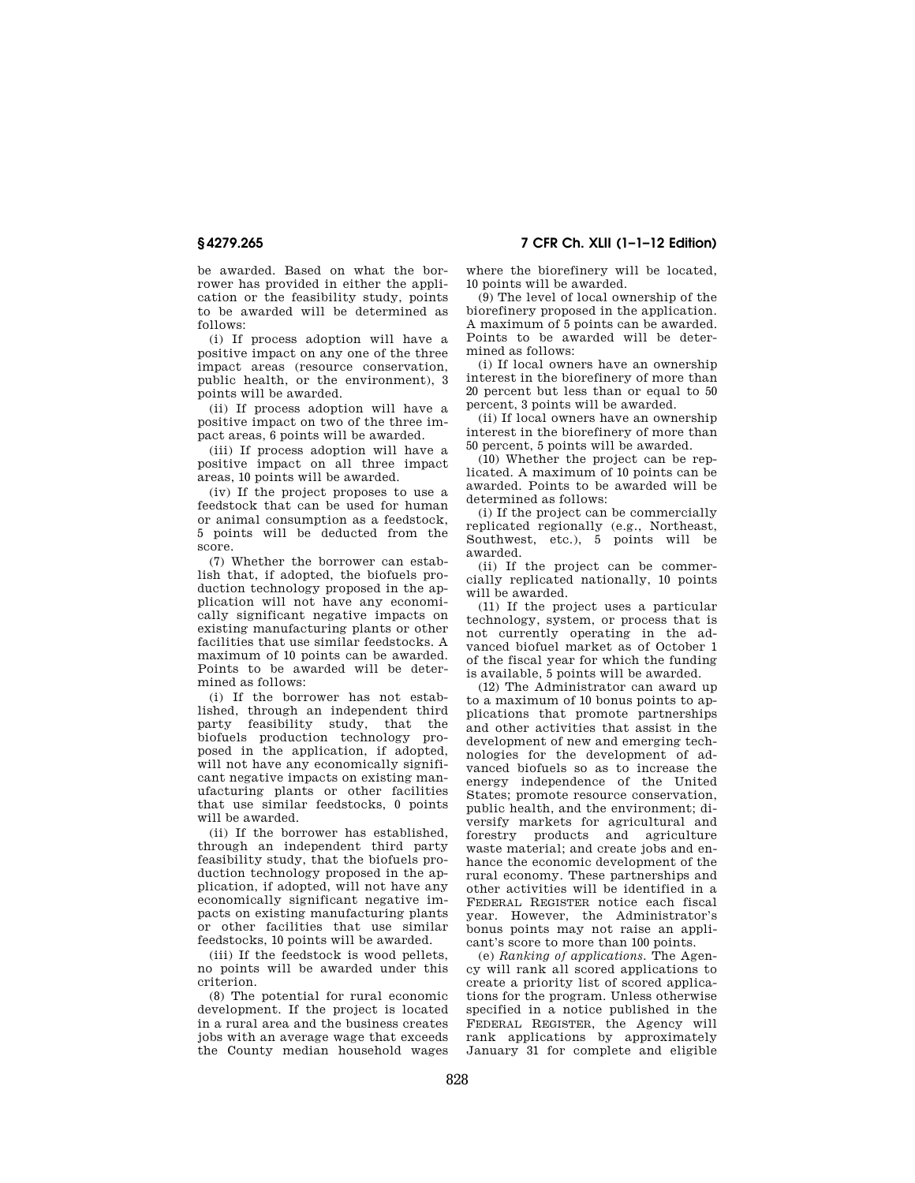**§ 4279.265 7 CFR Ch. XLII (1–1–12 Edition)** 

be awarded. Based on what the borrower has provided in either the application or the feasibility study, points to be awarded will be determined as follows:

(i) If process adoption will have a positive impact on any one of the three impact areas (resource conservation, public health, or the environment), 3 points will be awarded.

(ii) If process adoption will have a positive impact on two of the three impact areas, 6 points will be awarded.

(iii) If process adoption will have a positive impact on all three impact areas, 10 points will be awarded.

(iv) If the project proposes to use a feedstock that can be used for human or animal consumption as a feedstock, 5 points will be deducted from the score.

(7) Whether the borrower can establish that, if adopted, the biofuels production technology proposed in the application will not have any economically significant negative impacts on existing manufacturing plants or other facilities that use similar feedstocks. A maximum of 10 points can be awarded. Points to be awarded will be determined as follows:

(i) If the borrower has not established, through an independent third party feasibility study, that the biofuels production technology proposed in the application, if adopted, will not have any economically significant negative impacts on existing manufacturing plants or other facilities that use similar feedstocks, 0 points will be awarded.

(ii) If the borrower has established, through an independent third party feasibility study, that the biofuels production technology proposed in the application, if adopted, will not have any economically significant negative impacts on existing manufacturing plants or other facilities that use similar feedstocks, 10 points will be awarded.

(iii) If the feedstock is wood pellets, no points will be awarded under this criterion.

(8) The potential for rural economic development. If the project is located in a rural area and the business creates jobs with an average wage that exceeds the County median household wages

where the biorefinery will be located, 10 points will be awarded.

(9) The level of local ownership of the biorefinery proposed in the application. A maximum of 5 points can be awarded. Points to be awarded will be determined as follows:

(i) If local owners have an ownership interest in the biorefinery of more than 20 percent but less than or equal to 50 percent, 3 points will be awarded.

(ii) If local owners have an ownership interest in the biorefinery of more than 50 percent, 5 points will be awarded.

(10) Whether the project can be replicated. A maximum of 10 points can be awarded. Points to be awarded will be determined as follows:

(i) If the project can be commercially replicated regionally (e.g., Northeast, Southwest, etc.), 5 points will be awarded.

(ii) If the project can be commercially replicated nationally, 10 points will be awarded.

(11) If the project uses a particular technology, system, or process that is not currently operating in the advanced biofuel market as of October 1 of the fiscal year for which the funding is available, 5 points will be awarded.

(12) The Administrator can award up to a maximum of 10 bonus points to applications that promote partnerships and other activities that assist in the development of new and emerging technologies for the development of advanced biofuels so as to increase the energy independence of the United States; promote resource conservation, public health, and the environment; diversify markets for agricultural and forestry products and agriculture waste material; and create jobs and enhance the economic development of the rural economy. These partnerships and other activities will be identified in a FEDERAL REGISTER notice each fiscal year. However, the Administrator's bonus points may not raise an applicant's score to more than 100 points.

(e) *Ranking of applications.* The Agency will rank all scored applications to create a priority list of scored applications for the program. Unless otherwise specified in a notice published in the FEDERAL REGISTER, the Agency will rank applications by approximately January 31 for complete and eligible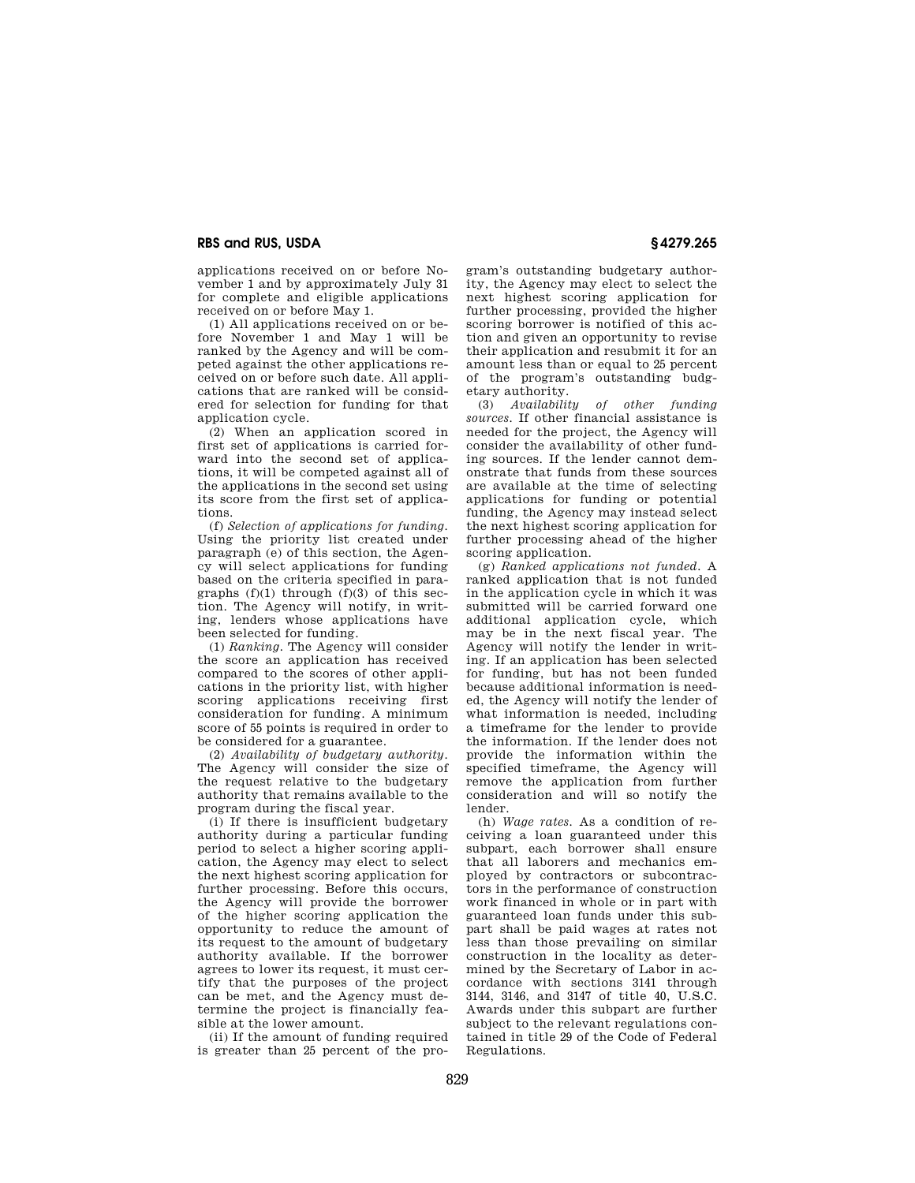applications received on or before November 1 and by approximately July 31 for complete and eligible applications received on or before May 1.

(1) All applications received on or before November 1 and May 1 will be ranked by the Agency and will be competed against the other applications received on or before such date. All applications that are ranked will be considered for selection for funding for that application cycle.

(2) When an application scored in first set of applications is carried forward into the second set of applications, it will be competed against all of the applications in the second set using its score from the first set of applications.

(f) *Selection of applications for funding.*  Using the priority list created under paragraph (e) of this section, the Agency will select applications for funding based on the criteria specified in paragraphs  $(f)(1)$  through  $(f)(3)$  of this section. The Agency will notify, in writing, lenders whose applications have been selected for funding.

(1) *Ranking.* The Agency will consider the score an application has received compared to the scores of other applications in the priority list, with higher scoring applications receiving first consideration for funding. A minimum score of 55 points is required in order to be considered for a guarantee.

(2) *Availability of budgetary authority.*  The Agency will consider the size of the request relative to the budgetary authority that remains available to the program during the fiscal year.

(i) If there is insufficient budgetary authority during a particular funding period to select a higher scoring application, the Agency may elect to select the next highest scoring application for further processing. Before this occurs, the Agency will provide the borrower of the higher scoring application the opportunity to reduce the amount of its request to the amount of budgetary authority available. If the borrower agrees to lower its request, it must certify that the purposes of the project can be met, and the Agency must determine the project is financially feasible at the lower amount.

(ii) If the amount of funding required is greater than 25 percent of the pro-

gram's outstanding budgetary authority, the Agency may elect to select the next highest scoring application for further processing, provided the higher scoring borrower is notified of this action and given an opportunity to revise their application and resubmit it for an amount less than or equal to 25 percent of the program's outstanding budgetary authority.

(3) *Availability of other funding sources.* If other financial assistance is needed for the project, the Agency will consider the availability of other funding sources. If the lender cannot demonstrate that funds from these sources are available at the time of selecting applications for funding or potential funding, the Agency may instead select the next highest scoring application for further processing ahead of the higher scoring application.

(g) *Ranked applications not funded.* A ranked application that is not funded in the application cycle in which it was submitted will be carried forward one additional application cycle, which may be in the next fiscal year. The Agency will notify the lender in writing. If an application has been selected for funding, but has not been funded because additional information is needed, the Agency will notify the lender of what information is needed, including a timeframe for the lender to provide the information. If the lender does not provide the information within the specified timeframe, the Agency will remove the application from further consideration and will so notify the lender.

(h) *Wage rates.* As a condition of receiving a loan guaranteed under this subpart, each borrower shall ensure that all laborers and mechanics employed by contractors or subcontractors in the performance of construction work financed in whole or in part with guaranteed loan funds under this subpart shall be paid wages at rates not less than those prevailing on similar construction in the locality as determined by the Secretary of Labor in accordance with sections 3141 through 3144, 3146, and 3147 of title 40, U.S.C. Awards under this subpart are further subject to the relevant regulations contained in title 29 of the Code of Federal **Regulations**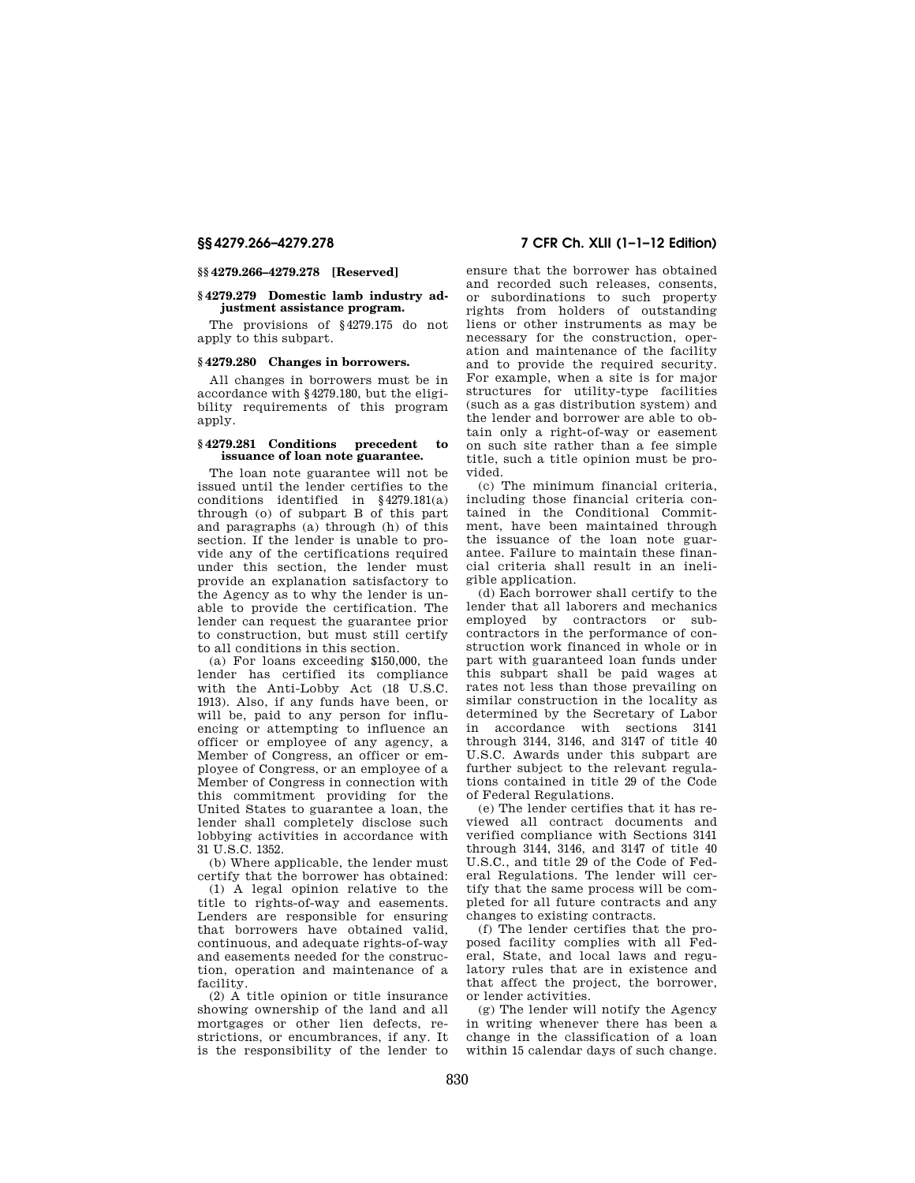#### **§§ 4279.266–4279.278 [Reserved]**

#### **§ 4279.279 Domestic lamb industry adjustment assistance program.**

The provisions of §4279.175 do not apply to this subpart.

## **§ 4279.280 Changes in borrowers.**

All changes in borrowers must be in accordance with §4279.180, but the eligibility requirements of this program apply.

## **§ 4279.281 Conditions precedent to issuance of loan note guarantee.**

The loan note guarantee will not be issued until the lender certifies to the conditions identified in §4279.181(a) through (o) of subpart B of this part and paragraphs (a) through (h) of this section. If the lender is unable to provide any of the certifications required under this section, the lender must provide an explanation satisfactory to the Agency as to why the lender is unable to provide the certification. The lender can request the guarantee prior to construction, but must still certify to all conditions in this section.

(a) For loans exceeding \$150,000, the lender has certified its compliance with the Anti-Lobby Act (18 U.S.C. 1913). Also, if any funds have been, or will be, paid to any person for influencing or attempting to influence an officer or employee of any agency, a Member of Congress, an officer or employee of Congress, or an employee of a Member of Congress in connection with this commitment providing for the United States to guarantee a loan, the lender shall completely disclose such lobbying activities in accordance with 31 U.S.C. 1352.

(b) Where applicable, the lender must certify that the borrower has obtained:

(1) A legal opinion relative to the title to rights-of-way and easements. Lenders are responsible for ensuring that borrowers have obtained valid, continuous, and adequate rights-of-way and easements needed for the construction, operation and maintenance of a facility.

(2) A title opinion or title insurance showing ownership of the land and all mortgages or other lien defects, restrictions, or encumbrances, if any. It is the responsibility of the lender to

# **§§ 4279.266–4279.278 7 CFR Ch. XLII (1–1–12 Edition)**

ensure that the borrower has obtained and recorded such releases, consents, or subordinations to such property rights from holders of outstanding liens or other instruments as may be necessary for the construction, operation and maintenance of the facility and to provide the required security. For example, when a site is for major structures for utility-type facilities (such as a gas distribution system) and the lender and borrower are able to obtain only a right-of-way or easement on such site rather than a fee simple title, such a title opinion must be provided.

(c) The minimum financial criteria, including those financial criteria contained in the Conditional Commitment, have been maintained through the issuance of the loan note guarantee. Failure to maintain these financial criteria shall result in an ineligible application.

(d) Each borrower shall certify to the lender that all laborers and mechanics employed by contractors or subcontractors in the performance of construction work financed in whole or in part with guaranteed loan funds under this subpart shall be paid wages at rates not less than those prevailing on similar construction in the locality as determined by the Secretary of Labor in accordance with sections 3141 through 3144, 3146, and 3147 of title 40 U.S.C. Awards under this subpart are further subject to the relevant regulations contained in title 29 of the Code of Federal Regulations.

(e) The lender certifies that it has reviewed all contract documents and verified compliance with Sections 3141 through 3144, 3146, and 3147 of title 40 U.S.C., and title 29 of the Code of Federal Regulations. The lender will certify that the same process will be completed for all future contracts and any changes to existing contracts.

(f) The lender certifies that the proposed facility complies with all Federal, State, and local laws and regulatory rules that are in existence and that affect the project, the borrower, or lender activities.

(g) The lender will notify the Agency in writing whenever there has been a change in the classification of a loan within 15 calendar days of such change.